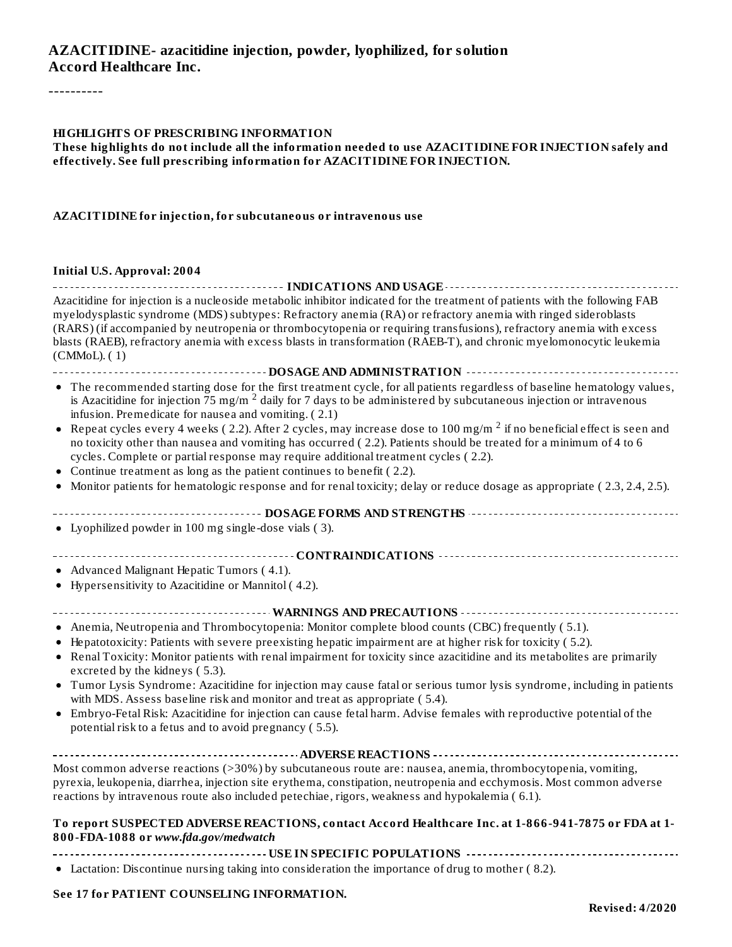#### **AZACITIDINE- azacitidine injection, powder, lyophilized, for solution Accord Healthcare Inc.**

----------

#### **HIGHLIGHTS OF PRESCRIBING INFORMATION**

**These highlights do not include all the information needed to use AZACITIDINE FOR INJECTION safely and effectively. See full prescribing information for AZACITIDINE FOR INJECTION.**

#### **AZACITIDINE for injection, for subcutaneous or intravenous use**

#### **Initial U.S. Approval: 2004**

| ------------ INDICATIONS AND USAGE ------------<br>Azacitidine for injection is a nucleoside metabolic inhibitor indicated for the treatment of patients with the following FAB<br>myelodysplastic syndrome (MDS) subtypes: Refractory anemia (RA) or refractory anemia with ringed sideroblasts<br>(RARS) (if accompanied by neutropenia or thrombocytopenia or requiring transfusions), refractory anemia with excess<br>blasts (RAEB), refractory anemia with excess blasts in transformation (RAEB-T), and chronic myelomonocytic leukemia<br>(CMMol. (1) |
|---------------------------------------------------------------------------------------------------------------------------------------------------------------------------------------------------------------------------------------------------------------------------------------------------------------------------------------------------------------------------------------------------------------------------------------------------------------------------------------------------------------------------------------------------------------|
| --------------------------DOSAGE AND ADMINISTRATION ----------------------------                                                                                                                                                                                                                                                                                                                                                                                                                                                                              |
| • The recommended starting dose for the first treatment cycle, for all patients regardless of baseline hematology values,<br>is Azacitidine for injection 75 mg/m <sup>2</sup> daily for 7 days to be administered by subcutaneous injection or intravenous<br>infusion. Premedicate for nausea and vomiting. (2.1)                                                                                                                                                                                                                                           |
| Repeat cycles every 4 weeks (2.2). After 2 cycles, may increase dose to 100 mg/m <sup>2</sup> if no beneficial effect is seen and<br>no toxicity other than nausea and vomiting has occurred (2.2). Patients should be treated for a minimum of 4 to 6<br>cycles. Complete or partial response may require additional treatment cycles (2.2).                                                                                                                                                                                                                 |
| Continue treatment as long as the patient continues to benefit (2.2).                                                                                                                                                                                                                                                                                                                                                                                                                                                                                         |
| • Monitor patients for hematologic response and for renal toxicity; delay or reduce dosage as appropriate (2.3, 2.4, 2.5).                                                                                                                                                                                                                                                                                                                                                                                                                                    |
|                                                                                                                                                                                                                                                                                                                                                                                                                                                                                                                                                               |
| • Lyophilized powder in 100 mg single-dose vials (3).                                                                                                                                                                                                                                                                                                                                                                                                                                                                                                         |
|                                                                                                                                                                                                                                                                                                                                                                                                                                                                                                                                                               |
| • Advanced Malignant Hepatic Tumors (4.1).<br>• Hypersensitivity to Azacitidine or Mannitol (4.2).                                                                                                                                                                                                                                                                                                                                                                                                                                                            |
| --------------------------- WARNINGS AND PRECAUTIONS ---------                                                                                                                                                                                                                                                                                                                                                                                                                                                                                                |
| • Anemia, Neutropenia and Thrombocytopenia: Monitor complete blood counts (CBC) frequently (5.1).                                                                                                                                                                                                                                                                                                                                                                                                                                                             |
| Hepatotoxicity: Patients with severe preexisting hepatic impairment are at higher risk for toxicity (5.2).                                                                                                                                                                                                                                                                                                                                                                                                                                                    |
| • Renal Toxicity: Monitor patients with renal impairment for toxicity since azacitidine and its metabolites are primarily<br>excreted by the kidneys (5.3).                                                                                                                                                                                                                                                                                                                                                                                                   |
| • Tumor Lysis Syndrome: Azacitidine for injection may cause fatal or serious tumor lysis syndrome, including in patients<br>with MDS. Assess baseline risk and monitor and treat as appropriate (5.4).                                                                                                                                                                                                                                                                                                                                                        |
| Embryo-Fetal Risk: Azacitidine for injection can cause fetal harm. Advise females with reproductive potential of the<br>potential risk to a fetus and to avoid pregnancy (5.5).                                                                                                                                                                                                                                                                                                                                                                               |
|                                                                                                                                                                                                                                                                                                                                                                                                                                                                                                                                                               |
| Most common adverse reactions (>30%) by subcutaneous route are: nausea, anemia, thrombocytopenia, vomiting,<br>pyrexia, leukopenia, diarrhea, injection site erythema, constipation, neutropenia and ecchymosis. Most common adverse<br>reactions by intravenous route also included petechiae, rigors, weakness and hypokalemia (6.1).                                                                                                                                                                                                                       |
| To report SUSPECTED ADVERSE REACTIONS, contact Accord Healthcare Inc. at 1-866-941-7875 or FDA at 1-<br>800-FDA-1088 or www.fda.gov/medwatch                                                                                                                                                                                                                                                                                                                                                                                                                  |
|                                                                                                                                                                                                                                                                                                                                                                                                                                                                                                                                                               |

Lactation: Discontinue nursing taking into consideration the importance of drug to mother ( 8.2).

#### **See 17 for PATIENT COUNSELING INFORMATION.**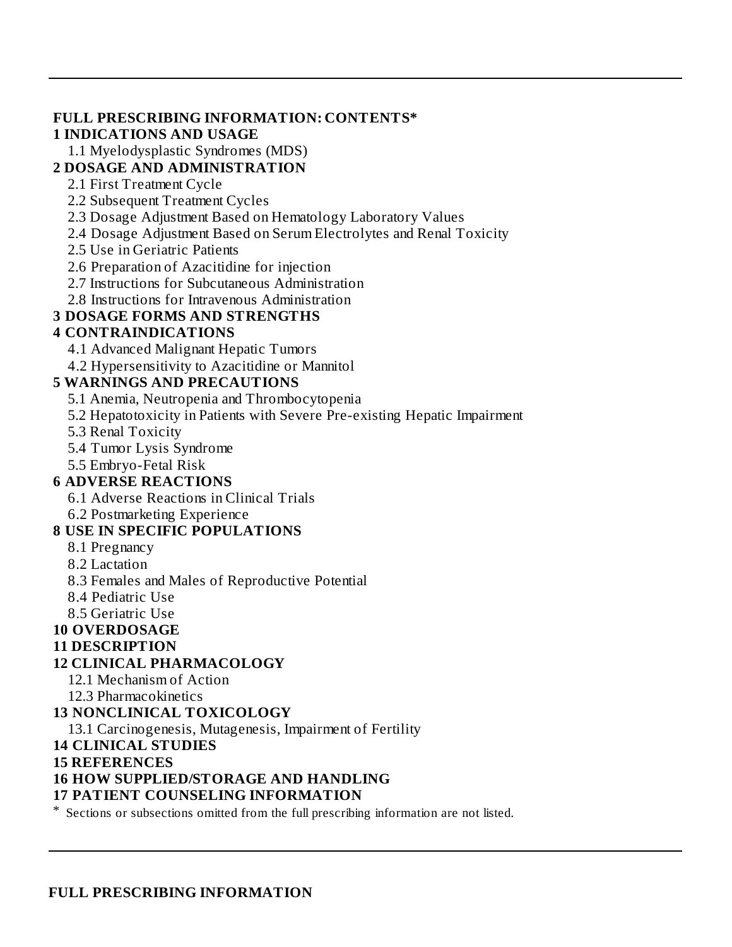#### **FULL PRESCRIBING INFORMATION: CONTENTS\* 1 INDICATIONS AND USAGE**

1.1 Myelodysplastic Syndromes (MDS)

### **2 DOSAGE AND ADMINISTRATION**

- 2.1 First Treatment Cycle
- 2.2 Subsequent Treatment Cycles
- 2.3 Dosage Adjustment Based on Hematology Laboratory Values
- 2.4 Dosage Adjustment Based on Serum Electrolytes and Renal Toxicity
- 2.5 Use in Geriatric Patients
- 2.6 Preparation of Azacitidine for injection
- 2.7 Instructions for Subcutaneous Administration
- 2.8 Instructions for Intravenous Administration

### **3 DOSAGE FORMS AND STRENGTHS**

#### **4 CONTRAINDICATIONS**

- 4.1 Advanced Malignant Hepatic Tumors
- 4.2 Hypersensitivity to Azacitidine or Mannitol

#### **5 WARNINGS AND PRECAUTIONS**

- 5.1 Anemia, Neutropenia and Thrombocytopenia
- 5.2 Hepatotoxicity in Patients with Severe Pre-existing Hepatic Impairment
- 5.3 Renal Toxicity
- 5.4 Tumor Lysis Syndrome
- 5.5 Embryo-Fetal Risk

#### **6 ADVERSE REACTIONS**

- 6.1 Adverse Reactions in Clinical Trials
- 6.2 Postmarketing Experience

#### **8 USE IN SPECIFIC POPULATIONS**

- 8.1 Pregnancy
- 8.2 Lactation
- 8.3 Females and Males of Reproductive Potential
- 8.4 Pediatric Use
- 8.5 Geriatric Use

#### **10 OVERDOSAGE**

#### **11 DESCRIPTION**

#### **12 CLINICAL PHARMACOLOGY**

- 12.1 Mechanism of Action
- 12.3 Pharmacokinetics

#### **13 NONCLINICAL TOXICOLOGY**

13.1 Carcinogenesis, Mutagenesis, Impairment of Fertility

#### **14 CLINICAL STUDIES**

#### **15 REFERENCES**

### **16 HOW SUPPLIED/STORAGE AND HANDLING**

#### **17 PATIENT COUNSELING INFORMATION**

\* Sections or subsections omitted from the full prescribing information are not listed.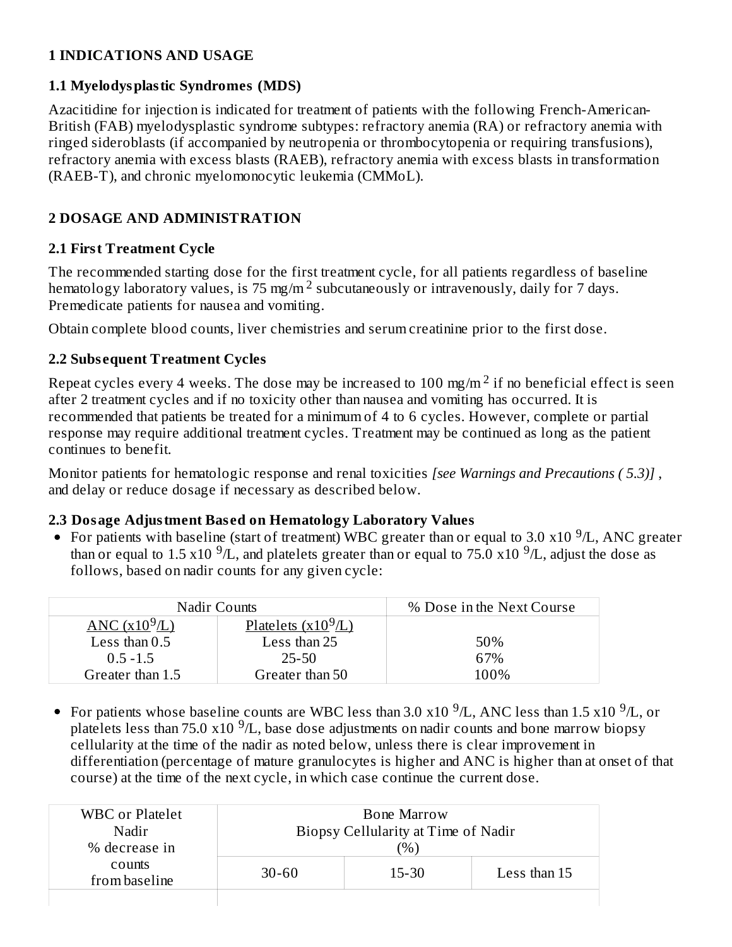### **1 INDICATIONS AND USAGE**

#### **1.1 Myelodysplastic Syndromes (MDS)**

Azacitidine for injection is indicated for treatment of patients with the following French-American-British (FAB) myelodysplastic syndrome subtypes: refractory anemia (RA) or refractory anemia with ringed sideroblasts (if accompanied by neutropenia or thrombocytopenia or requiring transfusions), refractory anemia with excess blasts (RAEB), refractory anemia with excess blasts in transformation (RAEB-T), and chronic myelomonocytic leukemia (CMMoL).

### **2 DOSAGE AND ADMINISTRATION**

### **2.1 First Treatment Cycle**

The recommended starting dose for the first treatment cycle, for all patients regardless of baseline hematology laboratory values, is 75 mg/m<sup>2</sup> subcutaneously or intravenously, daily for 7 days. Premedicate patients for nausea and vomiting.

Obtain complete blood counts, liver chemistries and serum creatinine prior to the first dose.

### **2.2 Subs equent Treatment Cycles**

Repeat cycles every 4 weeks. The dose may be increased to 100 mg/m  $^2$  if no beneficial effect is seen after 2 treatment cycles and if no toxicity other than nausea and vomiting has occurred. It is recommended that patients be treated for a minimum of 4 to 6 cycles. However, complete or partial response may require additional treatment cycles. Treatment may be continued as long as the patient continues to benefit.

Monitor patients for hematologic response and renal toxicities *[see Warnings and Precautions ( 5.3)]* , and delay or reduce dosage if necessary as described below.

### **2.3 Dosage Adjustment Bas ed on Hematology Laboratory Values**

For patients with baseline (start of treatment) WBC greater than or equal to 3.0 x10  $^9$ /L, ANC greater than or equal to 1.5 x10  $^9$ /L, and platelets greater than or equal to 75.0 x10  $^9$ /L, adjust the dose as follows, based on nadir counts for any given cycle:

| Nadir Counts                         | % Dose in the Next Course               |      |
|--------------------------------------|-----------------------------------------|------|
| $\triangle NC$ (x10 <sup>9</sup> /L) | <u>Platelets <math>(x10^9/L)</math></u> |      |
| Less than $0.5$                      | Less than 25                            | 50%  |
| $0.5 - 1.5$                          | 25-50                                   | 67%  |
| Greater than 1.5                     | Greater than 50                         | 100% |

For patients whose baseline counts are WBC less than 3.0 x10  $^9$ /L, ANC less than 1.5 x10  $^9$ /L, or platelets less than 75.0  $x10^{-9}/L$ , base dose adjustments on nadir counts and bone marrow biopsy cellularity at the time of the nadir as noted below, unless there is clear improvement in differentiation (percentage of mature granulocytes is higher and ANC is higher than at onset of that course) at the time of the next cycle, in which case continue the current dose.

| <b>WBC</b> or Platelet  | <b>Bone Marrow</b>                     |  |  |  |  |
|-------------------------|----------------------------------------|--|--|--|--|
| Nadir                   | Biopsy Cellularity at Time of Nadir    |  |  |  |  |
| % decrease in           | $\frac{(0)}{0}$                        |  |  |  |  |
| counts<br>from baseline | Less than 15<br>$15 - 30$<br>$30 - 60$ |  |  |  |  |
|                         |                                        |  |  |  |  |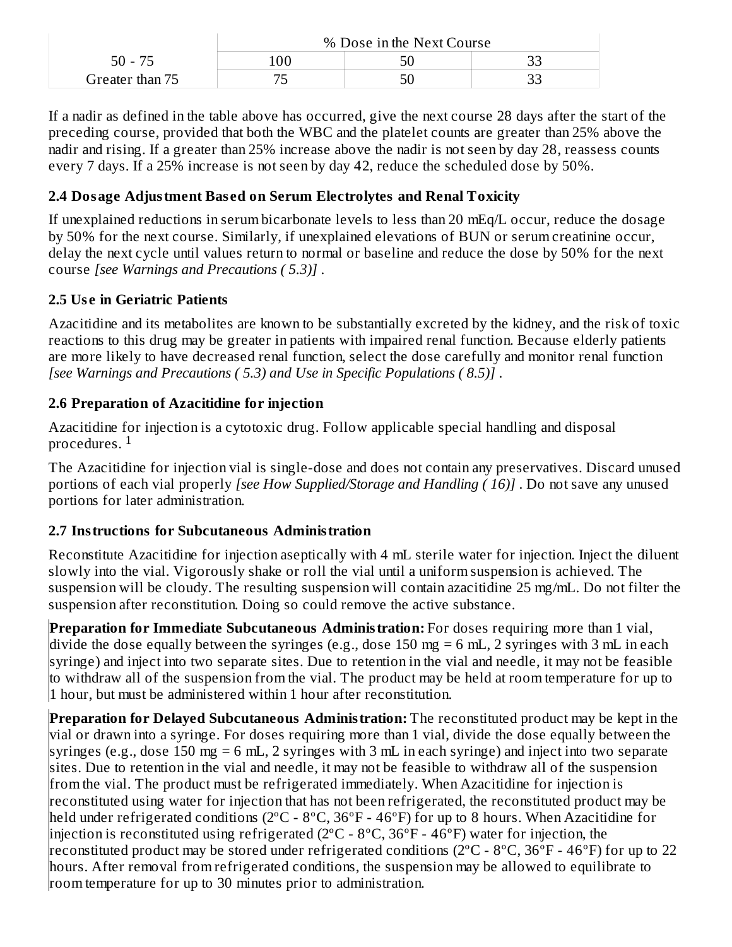|                 | % Dose in the Next Course |  |  |  |  |
|-----------------|---------------------------|--|--|--|--|
| 50 - 75         |                           |  |  |  |  |
| Greater than 75 |                           |  |  |  |  |

If a nadir as defined in the table above has occurred, give the next course 28 days after the start of the preceding course, provided that both the WBC and the platelet counts are greater than 25% above the nadir and rising. If a greater than 25% increase above the nadir is not seen by day 28, reassess counts every 7 days. If a 25% increase is not seen by day 42, reduce the scheduled dose by 50%.

### **2.4 Dosage Adjustment Bas ed on Serum Electrolytes and Renal Toxicity**

If unexplained reductions in serum bicarbonate levels to less than 20 mEq/L occur, reduce the dosage by 50% for the next course. Similarly, if unexplained elevations of BUN or serum creatinine occur, delay the next cycle until values return to normal or baseline and reduce the dose by 50% for the next course *[see Warnings and Precautions ( 5.3)]* .

### **2.5 Us e in Geriatric Patients**

Azacitidine and its metabolites are known to be substantially excreted by the kidney, and the risk of toxic reactions to this drug may be greater in patients with impaired renal function. Because elderly patients are more likely to have decreased renal function, select the dose carefully and monitor renal function *[see Warnings and Precautions ( 5.3) and Use in Specific Populations ( 8.5)]* .

### **2.6 Preparation of Azacitidine for injection**

Azacitidine for injection is a cytotoxic drug. Follow applicable special handling and disposal procedures.  $^{\rm 1}$ 

The Azacitidine for injection vial is single-dose and does not contain any preservatives. Discard unused portions of each vial properly *[see How Supplied/Storage and Handling ( 16)]* . Do not save any unused portions for later administration.

#### **2.7 Instructions for Subcutaneous Administration**

Reconstitute Azacitidine for injection aseptically with 4 mL sterile water for injection. Inject the diluent slowly into the vial. Vigorously shake or roll the vial until a uniform suspension is achieved. The suspension will be cloudy. The resulting suspension will contain azacitidine 25 mg/mL. Do not filter the suspension after reconstitution. Doing so could remove the active substance.

**Preparation for Immediate Subcutaneous Administration:** For doses requiring more than 1 vial, divide the dose equally between the syringes (e.g., dose 150 mg = 6 mL, 2 syringes with 3 mL in each syringe) and inject into two separate sites. Due to retention in the vial and needle, it may not be feasible to withdraw all of the suspension from the vial. The product may be held at room temperature for up to 1 hour, but must be administered within 1 hour after reconstitution.

**Preparation for Delayed Subcutaneous Administration:** The reconstituted product may be kept in the vial or drawn into a syringe. For doses requiring more than 1 vial, divide the dose equally between the syringes (e.g., dose 150 mg = 6 mL, 2 syringes with 3 mL in each syringe) and inject into two separate sites. Due to retention in the vial and needle, it may not be feasible to withdraw all of the suspension from the vial. The product must be refrigerated immediately. When Azacitidine for injection is reconstituted using water for injection that has not been refrigerated, the reconstituted product may be held under refrigerated conditions (2ºC - 8ºC, 36ºF - 46ºF) for up to 8 hours. When Azacitidine for injection is reconstituted using refrigerated (2°C - 8°C, 36°F - 46°F) water for injection, the reconstituted product may be stored under refrigerated conditions (2ºC - 8ºC, 36ºF - 46ºF) for up to 22 hours. After removal from refrigerated conditions, the suspension may be allowed to equilibrate to room temperature for up to 30 minutes prior to administration.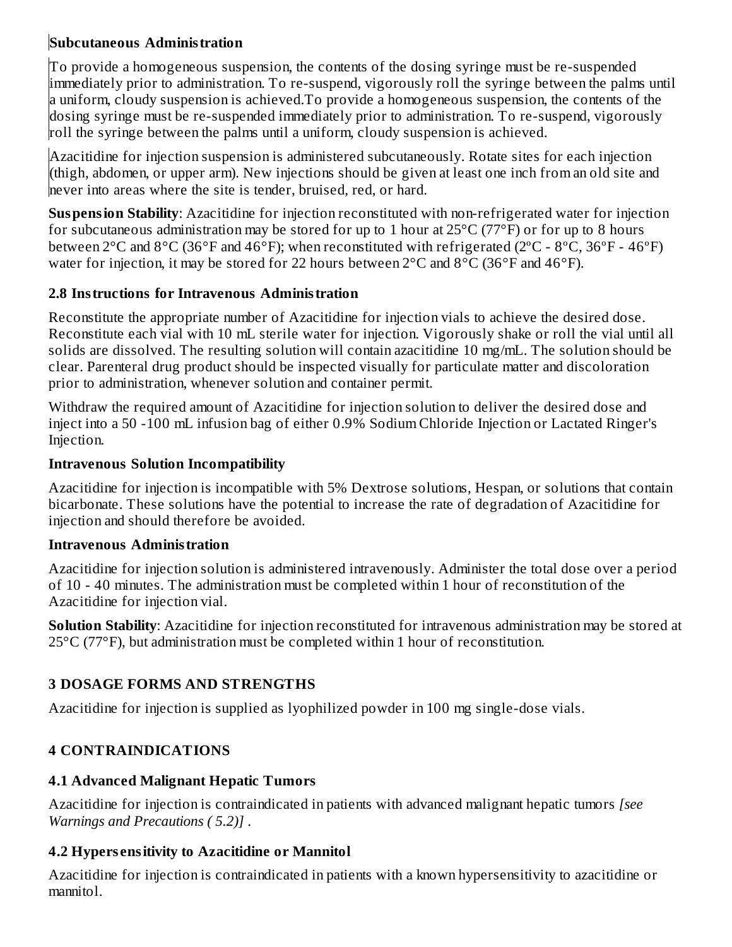### **Subcutaneous Administration**

To provide a homogeneous suspension, the contents of the dosing syringe must be re-suspended immediately prior to administration. To re-suspend, vigorously roll the syringe between the palms until a uniform, cloudy suspension is achieved.To provide a homogeneous suspension, the contents of the dosing syringe must be re-suspended immediately prior to administration. To re-suspend, vigorously roll the syringe between the palms until a uniform, cloudy suspension is achieved.

Azacitidine for injection suspension is administered subcutaneously. Rotate sites for each injection (thigh, abdomen, or upper arm). New injections should be given at least one inch from an old site and never into areas where the site is tender, bruised, red, or hard.

**Suspension Stability**: Azacitidine for injection reconstituted with non-refrigerated water for injection for subcutaneous administration may be stored for up to 1 hour at  $25^{\circ}$ C (77°F) or for up to 8 hours between 2°C and 8°C (36°F and 46°F); when reconstituted with refrigerated (2ºC - 8ºC, 36ºF - 46ºF) water for injection, it may be stored for 22 hours between 2°C and 8°C (36°F and 46°F).

### **2.8 Instructions for Intravenous Administration**

Reconstitute the appropriate number of Azacitidine for injection vials to achieve the desired dose. Reconstitute each vial with 10 mL sterile water for injection. Vigorously shake or roll the vial until all solids are dissolved. The resulting solution will contain azacitidine 10 mg/mL. The solution should be clear. Parenteral drug product should be inspected visually for particulate matter and discoloration prior to administration, whenever solution and container permit.

Withdraw the required amount of Azacitidine for injection solution to deliver the desired dose and inject into a 50 -100 mL infusion bag of either 0.9% Sodium Chloride Injection or Lactated Ringer's Injection.

### **Intravenous Solution Incompatibility**

Azacitidine for injection is incompatible with 5% Dextrose solutions, Hespan, or solutions that contain bicarbonate. These solutions have the potential to increase the rate of degradation of Azacitidine for injection and should therefore be avoided.

### **Intravenous Administration**

Azacitidine for injection solution is administered intravenously. Administer the total dose over a period of 10 - 40 minutes. The administration must be completed within 1 hour of reconstitution of the Azacitidine for injection vial.

**Solution Stability**: Azacitidine for injection reconstituted for intravenous administration may be stored at 25°C (77°F), but administration must be completed within 1 hour of reconstitution.

# **3 DOSAGE FORMS AND STRENGTHS**

Azacitidine for injection is supplied as lyophilized powder in 100 mg single-dose vials.

# **4 CONTRAINDICATIONS**

### **4.1 Advanced Malignant Hepatic Tumors**

Azacitidine for injection is contraindicated in patients with advanced malignant hepatic tumors *[see Warnings and Precautions ( 5.2)]* .

# **4.2 Hypers ensitivity to Azacitidine or Mannitol**

Azacitidine for injection is contraindicated in patients with a known hypersensitivity to azacitidine or mannitol.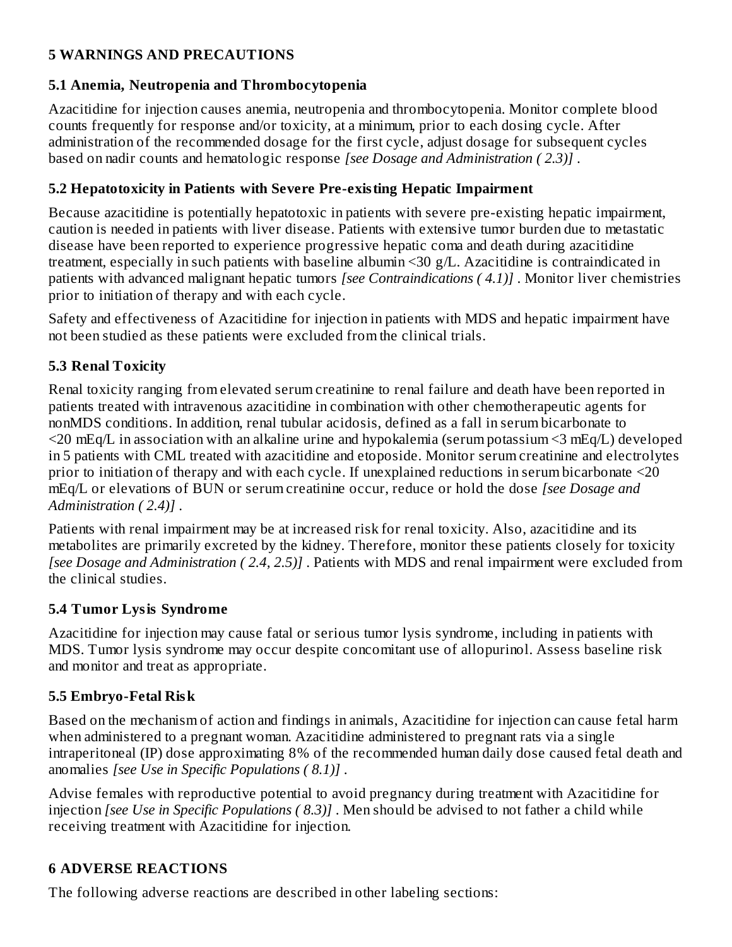### **5 WARNINGS AND PRECAUTIONS**

### **5.1 Anemia, Neutropenia and Thrombocytopenia**

Azacitidine for injection causes anemia, neutropenia and thrombocytopenia. Monitor complete blood counts frequently for response and/or toxicity, at a minimum, prior to each dosing cycle. After administration of the recommended dosage for the first cycle, adjust dosage for subsequent cycles based on nadir counts and hematologic response *[see Dosage and Administration ( 2.3)]* .

### **5.2 Hepatotoxicity in Patients with Severe Pre-existing Hepatic Impairment**

Because azacitidine is potentially hepatotoxic in patients with severe pre-existing hepatic impairment, caution is needed in patients with liver disease. Patients with extensive tumor burden due to metastatic disease have been reported to experience progressive hepatic coma and death during azacitidine treatment, especially in such patients with baseline albumin <30 g/L. Azacitidine is contraindicated in patients with advanced malignant hepatic tumors *[see Contraindications ( 4.1)]* . Monitor liver chemistries prior to initiation of therapy and with each cycle.

Safety and effectiveness of Azacitidine for injection in patients with MDS and hepatic impairment have not been studied as these patients were excluded from the clinical trials.

### **5.3 Renal Toxicity**

Renal toxicity ranging from elevated serum creatinine to renal failure and death have been reported in patients treated with intravenous azacitidine in combination with other chemotherapeutic agents for nonMDS conditions. In addition, renal tubular acidosis, defined as a fall in serum bicarbonate to <20 mEq/L in association with an alkaline urine and hypokalemia (serum potassium <3 mEq/L) developed in 5 patients with CML treated with azacitidine and etoposide. Monitor serum creatinine and electrolytes prior to initiation of therapy and with each cycle. If unexplained reductions in serum bicarbonate <20 mEq/L or elevations of BUN or serum creatinine occur, reduce or hold the dose *[see Dosage and Administration ( 2.4)]* .

Patients with renal impairment may be at increased risk for renal toxicity. Also, azacitidine and its metabolites are primarily excreted by the kidney. Therefore, monitor these patients closely for toxicity *[see Dosage and Administration ( 2.4, 2.5)]* . Patients with MDS and renal impairment were excluded from the clinical studies.

#### **5.4 Tumor Lysis Syndrome**

Azacitidine for injection may cause fatal or serious tumor lysis syndrome, including in patients with MDS. Tumor lysis syndrome may occur despite concomitant use of allopurinol. Assess baseline risk and monitor and treat as appropriate.

### **5.5 Embryo-Fetal Risk**

Based on the mechanism of action and findings in animals, Azacitidine for injection can cause fetal harm when administered to a pregnant woman. Azacitidine administered to pregnant rats via a single intraperitoneal (IP) dose approximating 8% of the recommended human daily dose caused fetal death and anomalies *[see Use in Specific Populations ( 8.1)]* .

Advise females with reproductive potential to avoid pregnancy during treatment with Azacitidine for injection *[see Use in Specific Populations ( 8.3)]* . Men should be advised to not father a child while receiving treatment with Azacitidine for injection.

### **6 ADVERSE REACTIONS**

The following adverse reactions are described in other labeling sections: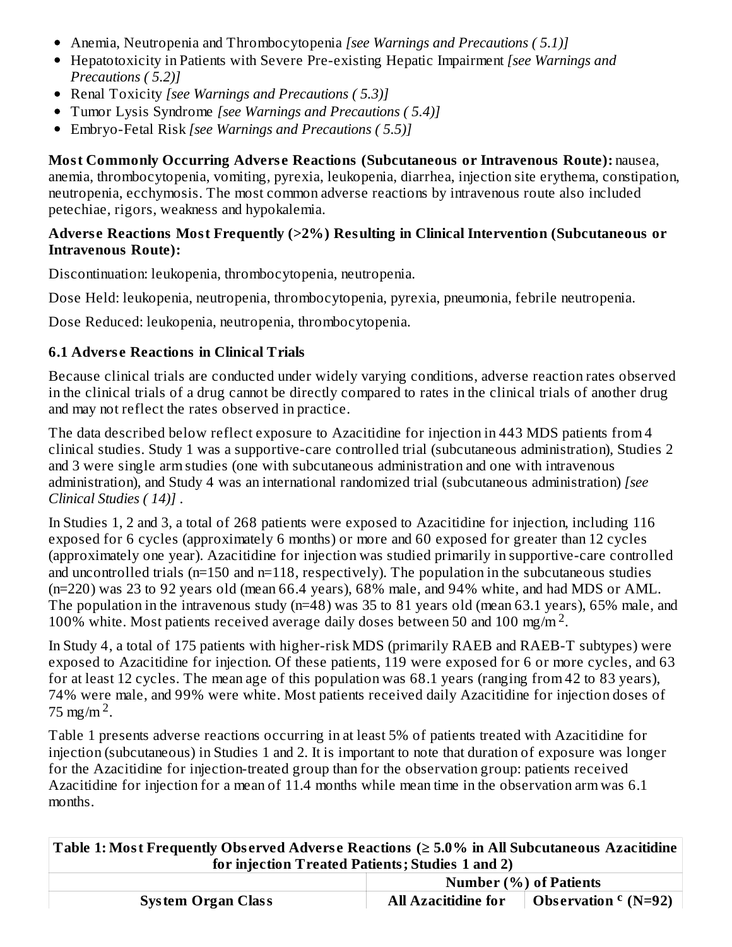- Anemia, Neutropenia and Thrombocytopenia *[see Warnings and Precautions ( 5.1)]*
- Hepatotoxicity in Patients with Severe Pre-existing Hepatic Impairment *[see Warnings and Precautions ( 5.2)]*
- Renal Toxicity *[see Warnings and Precautions ( 5.3)]*
- $\bullet$ Tumor Lysis Syndrome *[see Warnings and Precautions ( 5.4)]*
- Embryo-Fetal Risk *[see Warnings and Precautions ( 5.5)]*  $\bullet$

**Most Commonly Occurring Advers e Reactions (Subcutaneous or Intravenous Route):** nausea, anemia, thrombocytopenia, vomiting, pyrexia, leukopenia, diarrhea, injection site erythema, constipation, neutropenia, ecchymosis. The most common adverse reactions by intravenous route also included petechiae, rigors, weakness and hypokalemia.

#### **Advers e Reactions Most Frequently (>2%) Resulting in Clinical Intervention (Subcutaneous or Intravenous Route):**

Discontinuation: leukopenia, thrombocytopenia, neutropenia.

Dose Held: leukopenia, neutropenia, thrombocytopenia, pyrexia, pneumonia, febrile neutropenia.

Dose Reduced: leukopenia, neutropenia, thrombocytopenia.

#### **6.1 Advers e Reactions in Clinical Trials**

Because clinical trials are conducted under widely varying conditions, adverse reaction rates observed in the clinical trials of a drug cannot be directly compared to rates in the clinical trials of another drug and may not reflect the rates observed in practice.

The data described below reflect exposure to Azacitidine for injection in 443 MDS patients from 4 clinical studies. Study 1 was a supportive-care controlled trial (subcutaneous administration), Studies 2 and 3 were single arm studies (one with subcutaneous administration and one with intravenous administration), and Study 4 was an international randomized trial (subcutaneous administration) *[see Clinical Studies ( 14)]* .

In Studies 1, 2 and 3, a total of 268 patients were exposed to Azacitidine for injection, including 116 exposed for 6 cycles (approximately 6 months) or more and 60 exposed for greater than 12 cycles (approximately one year). Azacitidine for injection was studied primarily in supportive-care controlled and uncontrolled trials (n=150 and n=118, respectively). The population in the subcutaneous studies (n=220) was 23 to 92 years old (mean 66.4 years), 68% male, and 94% white, and had MDS or AML. The population in the intravenous study (n=48) was 35 to 81 years old (mean 63.1 years), 65% male, and 100% white. Most patients received average daily doses between 50 and 100 mg/m<sup>2</sup>.

In Study 4, a total of 175 patients with higher-risk MDS (primarily RAEB and RAEB-T subtypes) were exposed to Azacitidine for injection. Of these patients, 119 were exposed for 6 or more cycles, and 63 for at least 12 cycles. The mean age of this population was 68.1 years (ranging from 42 to 83 years), 74% were male, and 99% were white. Most patients received daily Azacitidine for injection doses of 75 mg/m<sup>2</sup>.

Table 1 presents adverse reactions occurring in at least 5% of patients treated with Azacitidine for injection (subcutaneous) in Studies 1 and 2. It is important to note that duration of exposure was longer for the Azacitidine for injection-treated group than for the observation group: patients received Azacitidine for injection for a mean of 11.4 months while mean time in the observation arm was 6.1 months.

**Table 1: Most Frequently Obs erved Advers e Reactions (≥ 5.0% in All Subcutaneous Azacitidine for injection Treated Patients; Studies 1 and 2)**

|                           | Number (%) of Patients     |                       |  |  |
|---------------------------|----------------------------|-----------------------|--|--|
| <b>System Organ Class</b> | <b>All Azacitidine for</b> | Observation $c(N=92)$ |  |  |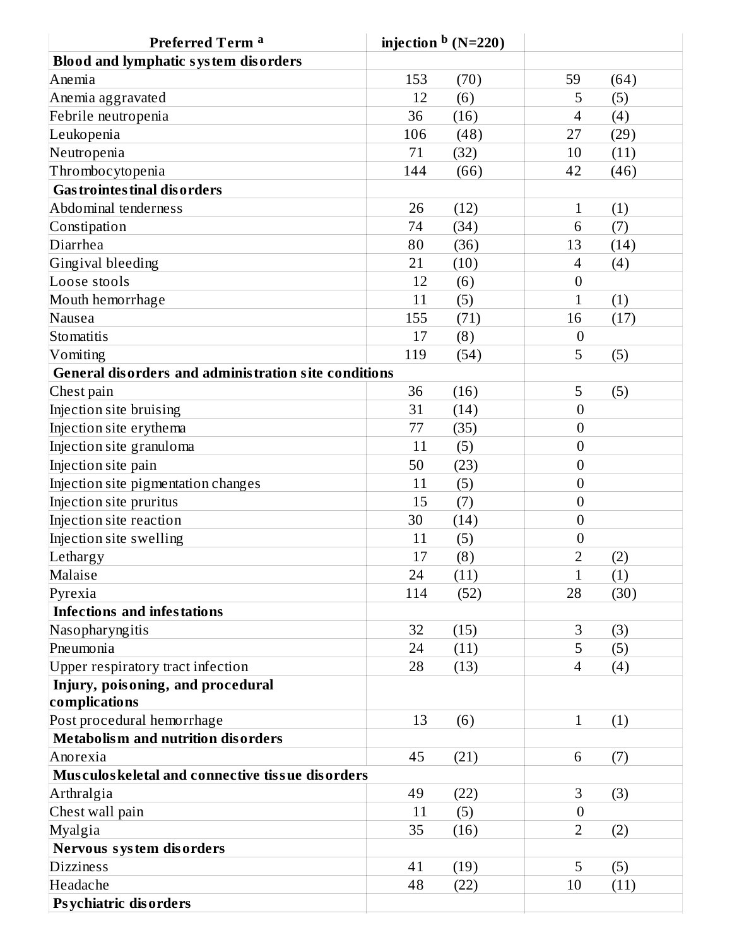| Preferred Term <sup>a</sup>                                 | injection $\rm^b$ (N=220) |                                 |
|-------------------------------------------------------------|---------------------------|---------------------------------|
| <b>Blood and lymphatic system disorders</b>                 |                           |                                 |
| Anemia                                                      | 153<br>(70)               | 59<br>(64)                      |
| Anemia aggravated                                           | (6)<br>12                 | 5<br>(5)                        |
| Febrile neutropenia                                         | 36<br>(16)                | (4)<br>4                        |
| Leukopenia                                                  | 106<br>(48)               | (29)<br>27                      |
| Neutropenia                                                 | 71<br>(32)                | 10<br>(11)                      |
| Thrombocytopenia                                            | 144<br>(66)               | 42<br>(46)                      |
| <b>Gas trointes tinal disorders</b>                         |                           |                                 |
| Abdominal tenderness                                        | 26<br>(12)                | (1)<br>$\mathbf{1}$             |
| Constipation                                                | 74<br>(34)                | 6<br>(7)                        |
| Diarrhea                                                    | 80<br>(36)                | 13<br>(14)                      |
| Gingival bleeding                                           | 21<br>(10)                | (4)<br>4                        |
| Loose stools                                                | 12<br>(6)                 | $\boldsymbol{0}$                |
| Mouth hemorrhage                                            | (5)<br>11                 | $\mathbf{1}$<br>(1)             |
| Nausea                                                      | 155<br>(71)               | 16<br>(17)                      |
| Stomatitis                                                  | (8)<br>17                 | $\boldsymbol{0}$                |
| Vomiting                                                    | 119<br>(54)               | 5<br>(5)                        |
| <b>General disorders and administration site conditions</b> |                           |                                 |
| Chest pain                                                  | 36<br>(16)                | 5<br>(5)                        |
| Injection site bruising                                     | 31<br>(14)                | $\overline{0}$                  |
| Injection site erythema                                     | 77<br>(35)                | $\boldsymbol{0}$                |
| Injection site granuloma                                    | 11<br>(5)                 | $\boldsymbol{0}$                |
| Injection site pain                                         | 50<br>(23)                | $\boldsymbol{0}$                |
| Injection site pigmentation changes                         | (5)<br>11                 | $\overline{0}$                  |
| Injection site pruritus                                     | 15<br>(7)                 | $\boldsymbol{0}$                |
| Injection site reaction                                     | 30<br>(14)                | $\overline{0}$                  |
| Injection site swelling                                     | 11<br>(5)                 | $\boldsymbol{0}$                |
| Lethargy                                                    | 17<br>(8)                 | $\overline{2}$<br>(2)           |
| Malaise                                                     | 24<br>(11)                | (1)<br>$\mathbf{1}$             |
| Pyrexia                                                     | 114<br>(52)               | 28<br>(30)                      |
| <b>Infections and infestations</b>                          |                           |                                 |
| Nasopharyngitis                                             | 32<br>(15)                | 3<br>(3)                        |
| Pneumonia                                                   | 24<br>(11)                | 5<br>(5)                        |
| Upper respiratory tract infection                           | 28<br>(13)                | $\overline{\mathcal{A}}$<br>(4) |
| Injury, poisoning, and procedural                           |                           |                                 |
| complications                                               |                           |                                 |
| Post procedural hemorrhage                                  | 13<br>(6)                 | $\mathbf{1}$<br>(1)             |
| <b>Metabolism and nutrition disorders</b>                   |                           |                                 |
| Anorexia                                                    | 45<br>(21)                | 6<br>(7)                        |
| Musculos keletal and connective tissue disorders            |                           |                                 |
| Arthralgia                                                  | 49<br>(22)                | 3<br>(3)                        |
| Chest wall pain                                             | (5)<br>11                 | $\overline{0}$                  |
| Myalgia                                                     | 35<br>(16)                | $\overline{2}$<br>(2)           |
| Nervous system disorders                                    |                           |                                 |
| <b>Dizziness</b>                                            | 41<br>(19)                | 5<br>(5)                        |
| Headache                                                    | 48<br>(22)                | 10<br>(11)                      |
| <b>Psychiatric disorders</b>                                |                           |                                 |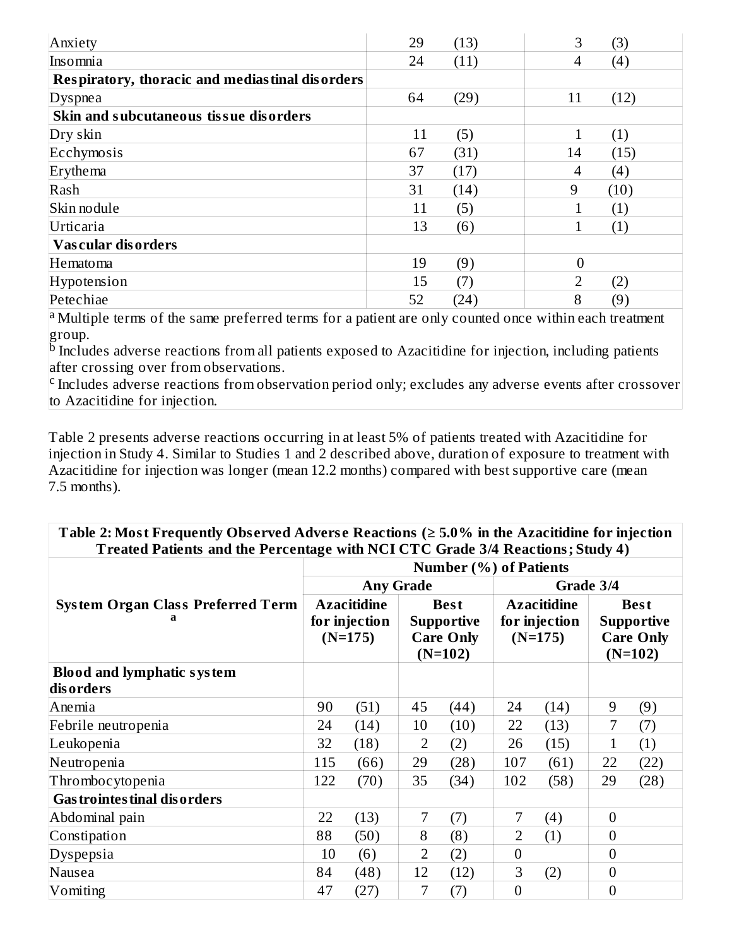| Anxiety                                         | 29 | (13) | 3              | (3)  |
|-------------------------------------------------|----|------|----------------|------|
| Insomnia                                        | 24 | (11) | 4              | (4)  |
| Respiratory, thoracic and mediastinal disorders |    |      |                |      |
| Dyspnea                                         | 64 | (29) | 11             | (12) |
| Skin and subcutaneous tissue disorders          |    |      |                |      |
| Dry skin                                        | 11 | (5)  | 1              | (1)  |
| Ecchymosis                                      | 67 | (31) | 14             | (15) |
| Erythema                                        | 37 | (17) | 4              | (4)  |
| Rash                                            | 31 | (14) | 9              | (10) |
| Skin nodule                                     | 11 | (5)  |                | (1)  |
| Urticaria                                       | 13 | (6)  | 1              | (1)  |
| Vascular disorders                              |    |      |                |      |
| Hematoma                                        | 19 | (9)  | $\overline{0}$ |      |
| Hypotension                                     | 15 | (7)  | $\overline{2}$ | (2)  |
| Petechiae                                       | 52 | (24) | 8              | (9)  |

<sup>a</sup> Multiple terms of the same preferred terms for a patient are only counted once within each treatment group.

 $^{\rm b}$  Includes adverse reactions from all patients exposed to Azacitidine for injection, including patients after crossing over from observations.

 $\rm c$  Includes adverse reactions from observation period only; excludes any adverse events after crossover to Azacitidine for injection.

Table 2 presents adverse reactions occurring in at least 5% of patients treated with Azacitidine for injection in Study 4. Similar to Studies 1 and 2 described above, duration of exposure to treatment with Azacitidine for injection was longer (mean 12.2 months) compared with best supportive care (mean 7.5 months).

**Table 2: Most Frequently Obs erved Advers e Reactions (≥ 5.0% in the Azacitidine for injection Treated Patients and the Percentage with NCI CTC Grade 3/4 Reactions; Study 4)**

|                                                | <b>Number (%) of Patients</b>                    |                  |                                                                   |      |                                                  |      |                                                                   |      |
|------------------------------------------------|--------------------------------------------------|------------------|-------------------------------------------------------------------|------|--------------------------------------------------|------|-------------------------------------------------------------------|------|
|                                                |                                                  | <b>Any Grade</b> |                                                                   |      | Grade 3/4                                        |      |                                                                   |      |
| <b>System Organ Class Preferred Term</b>       | <b>Azacitidine</b><br>for injection<br>$(N=175)$ |                  | <b>Best</b><br><b>Supportive</b><br><b>Care Only</b><br>$(N=102)$ |      | <b>Azacitidine</b><br>for injection<br>$(N=175)$ |      | <b>Best</b><br><b>Supportive</b><br><b>Care Only</b><br>$(N=102)$ |      |
| <b>Blood and lymphatic system</b><br>disorders |                                                  |                  |                                                                   |      |                                                  |      |                                                                   |      |
| Anemia                                         | 90                                               | (51)             | 45                                                                | (44) | 24                                               | (14) | 9                                                                 | (9)  |
| Febrile neutropenia                            | 24                                               | (14)             | 10                                                                | (10) | 22                                               | (13) | 7                                                                 | (7)  |
| Leukopenia                                     | 32                                               | (18)             | 2                                                                 | (2)  | 26                                               | (15) | 1                                                                 | (1)  |
| Neutropenia                                    | 115                                              | (66)             | 29                                                                | (28) | 107                                              | (61) | 22                                                                | (22) |
| Thrombocytopenia                               | 122                                              | (70)             | 35                                                                | (34) | 102                                              | (58) | 29                                                                | (28) |
| <b>Gastrointes tinal disorders</b>             |                                                  |                  |                                                                   |      |                                                  |      |                                                                   |      |
| Abdominal pain                                 | 22                                               | (13)             | 7                                                                 | (7)  | 7                                                | (4)  | $\overline{0}$                                                    |      |
| Constipation                                   | 88                                               | (50)             | 8                                                                 | (8)  | 2                                                | (1)  | $\overline{0}$                                                    |      |
| Dyspepsia                                      | 10                                               | (6)              | $\overline{2}$                                                    | (2)  | $\overline{0}$                                   |      | $\overline{0}$                                                    |      |
| Nausea                                         | 84                                               | (48)             | 12                                                                | (12) | 3                                                | (2)  | $\overline{0}$                                                    |      |
| Vomiting                                       | 47                                               | (27)             | 7                                                                 | (7)  | $\boldsymbol{0}$                                 |      | $\mathbf{0}$                                                      |      |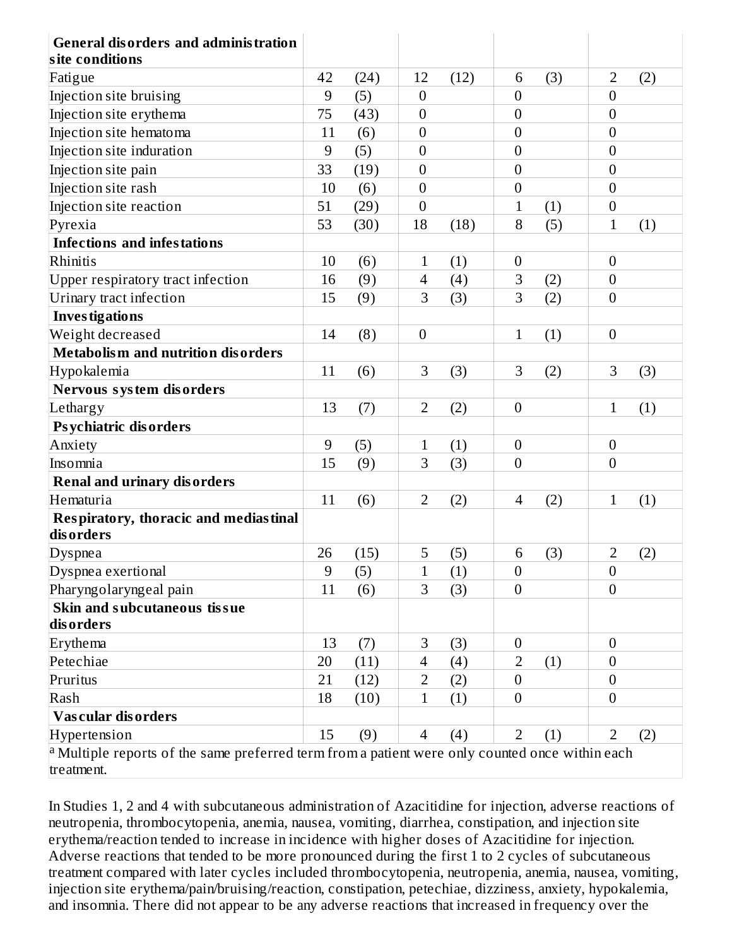| <b>General disorders and administration</b><br>site conditions                                                           |                |      |                  |      |                  |     |                  |     |
|--------------------------------------------------------------------------------------------------------------------------|----------------|------|------------------|------|------------------|-----|------------------|-----|
| Fatigue                                                                                                                  | 42             | (24) | 12               | (12) | 6                | (3) | $\overline{2}$   | (2) |
| Injection site bruising                                                                                                  | 9              | (5)  | $\overline{0}$   |      | $\overline{0}$   |     | $\overline{0}$   |     |
| Injection site erythema                                                                                                  | 75             | (43) | $\boldsymbol{0}$ |      | 0                |     | $\mathbf{0}$     |     |
| Injection site hematoma                                                                                                  | 11             | (6)  | $\overline{0}$   |      | $\boldsymbol{0}$ |     | $\overline{0}$   |     |
| Injection site induration                                                                                                | 9              | (5)  | $\mathbf{0}$     |      | 0                |     | $\overline{0}$   |     |
| Injection site pain                                                                                                      | 33             | (19) | $\boldsymbol{0}$ |      | $\boldsymbol{0}$ |     | $\mathbf{0}$     |     |
| Injection site rash                                                                                                      | 10             | (6)  | $\boldsymbol{0}$ |      | $\boldsymbol{0}$ |     | $\boldsymbol{0}$ |     |
| Injection site reaction                                                                                                  | 51             | (29) | $\boldsymbol{0}$ |      | $\mathbf{1}$     | (1) | $\boldsymbol{0}$ |     |
| Pyrexia                                                                                                                  | 53             | (30) | 18               | (18) | 8                | (5) | $\mathbf{1}$     | (1) |
| <b>Infections and infestations</b>                                                                                       |                |      |                  |      |                  |     |                  |     |
| Rhinitis                                                                                                                 | 10             | (6)  | $\mathbf{1}$     | (1)  | $\boldsymbol{0}$ |     | $\boldsymbol{0}$ |     |
| Upper respiratory tract infection                                                                                        | 16             | (9)  | 4                | (4)  | 3                | (2) | $\mathbf{0}$     |     |
| Urinary tract infection                                                                                                  | 15             | (9)  | 3                | (3)  | 3                | (2) | $\overline{0}$   |     |
| <b>Investigations</b>                                                                                                    |                |      |                  |      |                  |     |                  |     |
| Weight decreased                                                                                                         | 14             | (8)  | $\overline{0}$   |      | $\mathbf{1}$     | (1) | $\overline{0}$   |     |
| <b>Metabolism and nutrition disorders</b>                                                                                |                |      |                  |      |                  |     |                  |     |
| Hypokalemia                                                                                                              | 11             | (6)  | 3                | (3)  | 3                | (2) | 3                | (3) |
| Nervous system disorders                                                                                                 |                |      |                  |      |                  |     |                  |     |
| Lethargy                                                                                                                 | 13             | (7)  | $\overline{2}$   | (2)  | $\boldsymbol{0}$ |     | $\mathbf{1}$     | (1) |
| <b>Psychiatric disorders</b>                                                                                             |                |      |                  |      |                  |     |                  |     |
| Anxiety                                                                                                                  | 9              | (5)  | $\mathbf{1}$     | (1)  | $\boldsymbol{0}$ |     | $\boldsymbol{0}$ |     |
| Insomnia                                                                                                                 | 15             | (9)  | 3                | (3)  | $\overline{0}$   |     | $\overline{0}$   |     |
| <b>Renal and urinary disorders</b>                                                                                       |                |      |                  |      |                  |     |                  |     |
| Hematuria                                                                                                                | 11             | (6)  | $\overline{2}$   | (2)  | $\overline{4}$   | (2) | $\mathbf{1}$     | (1) |
| <b>Respiratory, thoracic and mediastinal</b><br>disorders                                                                |                |      |                  |      |                  |     |                  |     |
| Dyspnea                                                                                                                  | 26             | (15) | 5                | (5)  | 6                | (3) | $\overline{2}$   | (2) |
| Dyspnea exertional                                                                                                       | $\overline{9}$ | (5)  | $\mathbf{1}$     | (1)  | $\boldsymbol{0}$ |     | $\boldsymbol{0}$ |     |
| Pharyngolaryngeal pain                                                                                                   | 11             | (6)  | 3                | (3)  | $\overline{0}$   |     | $\boldsymbol{0}$ |     |
| Skin and subcutaneous tissue<br>disorders                                                                                |                |      |                  |      |                  |     |                  |     |
| Erythema                                                                                                                 | 13             | (7)  | $\,$ 3 $\,$      | (3)  | $\boldsymbol{0}$ |     | $\overline{0}$   |     |
| Petechiae                                                                                                                | 20             | (11) | $\overline{4}$   | (4)  | 2                | (1) | $\boldsymbol{0}$ |     |
| Pruritus                                                                                                                 | 21             | (12) | $\overline{2}$   | (2)  | $\boldsymbol{0}$ |     | $\boldsymbol{0}$ |     |
| Rash                                                                                                                     | 18             | (10) | $\mathbf{1}$     | (1)  | $\overline{0}$   |     | $\overline{0}$   |     |
| Vascular disorders                                                                                                       |                |      |                  |      |                  |     |                  |     |
| Hypertension                                                                                                             | 15             | (9)  | $\overline{4}$   | (4)  | $\overline{2}$   | (1) | $\overline{2}$   | (2) |
| <sup>a</sup> Multiple reports of the same preferred term from a patient were only counted once within each<br>treatment. |                |      |                  |      |                  |     |                  |     |

In Studies 1, 2 and 4 with subcutaneous administration of Azacitidine for injection, adverse reactions of neutropenia, thrombocytopenia, anemia, nausea, vomiting, diarrhea, constipation, and injection site erythema/reaction tended to increase in incidence with higher doses of Azacitidine for injection. Adverse reactions that tended to be more pronounced during the first 1 to 2 cycles of subcutaneous treatment compared with later cycles included thrombocytopenia, neutropenia, anemia, nausea, vomiting, injection site erythema/pain/bruising/reaction, constipation, petechiae, dizziness, anxiety, hypokalemia, and insomnia. There did not appear to be any adverse reactions that increased in frequency over the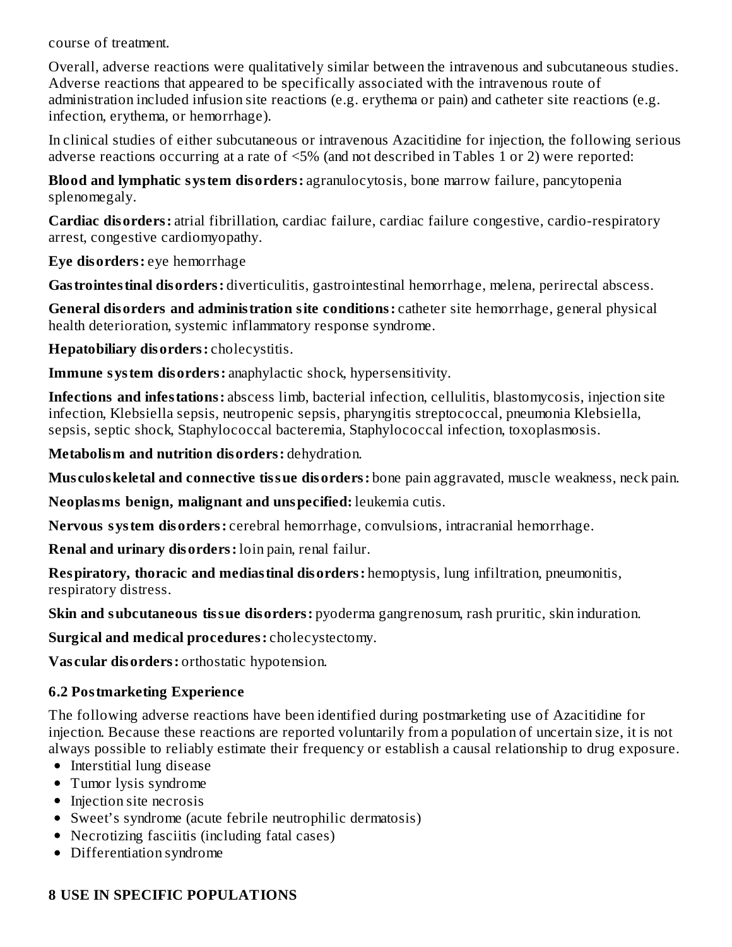course of treatment.

Overall, adverse reactions were qualitatively similar between the intravenous and subcutaneous studies. Adverse reactions that appeared to be specifically associated with the intravenous route of administration included infusion site reactions (e.g. erythema or pain) and catheter site reactions (e.g. infection, erythema, or hemorrhage).

In clinical studies of either subcutaneous or intravenous Azacitidine for injection, the following serious adverse reactions occurring at a rate of <5% (and not described in Tables 1 or 2) were reported:

**Blood and lymphatic system disorders:** agranulocytosis, bone marrow failure, pancytopenia splenomegaly.

**Cardiac disorders:** atrial fibrillation, cardiac failure, cardiac failure congestive, cardio-respiratory arrest, congestive cardiomyopathy.

**Eye disorders:** eye hemorrhage

**Gastrointestinal disorders:** diverticulitis, gastrointestinal hemorrhage, melena, perirectal abscess.

**General disorders and administration site conditions:** catheter site hemorrhage, general physical health deterioration, systemic inflammatory response syndrome.

**Hepatobiliary disorders:** cholecystitis.

**Immune system disorders:** anaphylactic shock, hypersensitivity.

**Infections and infestations:** abscess limb, bacterial infection, cellulitis, blastomycosis, injection site infection, Klebsiella sepsis, neutropenic sepsis, pharyngitis streptococcal, pneumonia Klebsiella, sepsis, septic shock, Staphylococcal bacteremia, Staphylococcal infection, toxoplasmosis.

**Metabolism and nutrition disorders:** dehydration.

**Mus culoskeletal and connective tissue disorders:** bone pain aggravated, muscle weakness, neck pain.

**Neoplasms benign, malignant and unspecified:** leukemia cutis.

**Nervous system disorders:** cerebral hemorrhage, convulsions, intracranial hemorrhage.

**Renal and urinary disorders:** loin pain, renal failur.

**Respiratory, thoracic and mediastinal disorders:** hemoptysis, lung infiltration, pneumonitis, respiratory distress.

**Skin and subcutaneous tissue disorders:** pyoderma gangrenosum, rash pruritic, skin induration.

**Surgical and medical procedures:** cholecystectomy.

**Vas cular disorders:** orthostatic hypotension.

### **6.2 Postmarketing Experience**

The following adverse reactions have been identified during postmarketing use of Azacitidine for injection. Because these reactions are reported voluntarily from a population of uncertain size, it is not always possible to reliably estimate their frequency or establish a causal relationship to drug exposure.

- Interstitial lung disease
- Tumor lysis syndrome
- Injection site necrosis
- Sweet's syndrome (acute febrile neutrophilic dermatosis)
- Necrotizing fasciitis (including fatal cases)
- Differentiation syndrome

### **8 USE IN SPECIFIC POPULATIONS**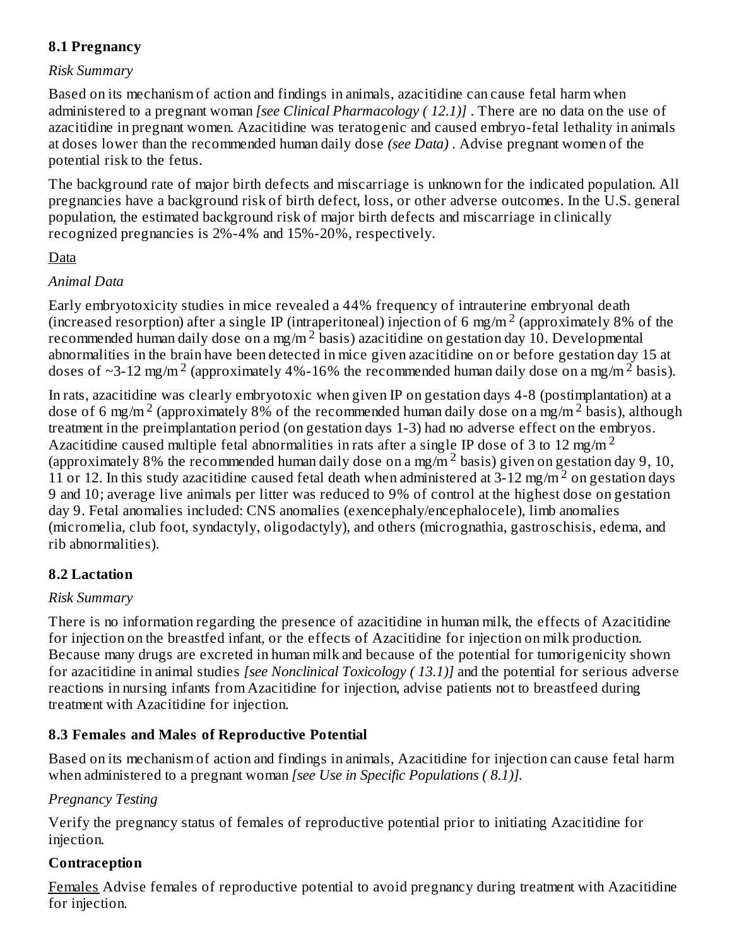### **8.1 Pregnancy**

#### *Risk Summary*

Based on its mechanism of action and findings in animals, azacitidine can cause fetal harm when administered to a pregnant woman *[see Clinical Pharmacology ( 12.1)]* . There are no data on the use of azacitidine in pregnant women. Azacitidine was teratogenic and caused embryo-fetal lethality in animals at doses lower than the recommended human daily dose *(see Data)* . Advise pregnant women of the potential risk to the fetus.

The background rate of major birth defects and miscarriage is unknown for the indicated population. All pregnancies have a background risk of birth defect, loss, or other adverse outcomes. In the U.S. general population, the estimated background risk of major birth defects and miscarriage in clinically recognized pregnancies is 2%-4% and 15%-20%, respectively.

#### Data

### *Animal Data*

Early embryotoxicity studies in mice revealed a 44% frequency of intrauterine embryonal death (increased resorption) after a single IP (intraperitoneal) injection of 6 mg/m<sup>2</sup> (approximately 8% of the recommended human daily dose on a mg/m<sup>2</sup> basis) azacitidine on gestation day 10. Developmental abnormalities in the brain have been detected in mice given azacitidine on or before gestation day 15 at doses of ~3-12 mg/m<sup>2</sup> (approximately 4%-16% the recommended human daily dose on a mg/m<sup>2</sup> basis).

In rats, azacitidine was clearly embryotoxic when given IP on gestation days 4-8 (postimplantation) at a dose of 6 mg/m<sup>2</sup> (approximately 8% of the recommended human daily dose on a mg/m<sup>2</sup> basis), although treatment in the preimplantation period (on gestation days 1-3) had no adverse effect on the embryos. Azacitidine caused multiple fetal abnormalities in rats after a single IP dose of 3 to 12 mg/m<sup>2</sup> (approximately 8% the recommended human daily dose on a mg/m<sup>2</sup> basis) given on gestation day 9, 10, 11 or 12. In this study azacitidine caused fetal death when administered at  $3-12$  mg/m<sup>2</sup> on gestation days 9 and 10; average live animals per litter was reduced to 9% of control at the highest dose on gestation day 9. Fetal anomalies included: CNS anomalies (exencephaly/encephalocele), limb anomalies (micromelia, club foot, syndactyly, oligodactyly), and others (micrognathia, gastroschisis, edema, and rib abnormalities).

### **8.2 Lactation**

#### *Risk Summary*

There is no information regarding the presence of azacitidine in human milk, the effects of Azacitidine for injection on the breastfed infant, or the effects of Azacitidine for injection on milk production. Because many drugs are excreted in human milk and because of the potential for tumorigenicity shown for azacitidine in animal studies *[see Nonclinical Toxicology ( 13.1)]* and the potential for serious adverse reactions in nursing infants from Azacitidine for injection, advise patients not to breastfeed during treatment with Azacitidine for injection.

### **8.3 Females and Males of Reproductive Potential**

Based on its mechanism of action and findings in animals, Azacitidine for injection can cause fetal harm when administered to a pregnant woman *[see Use in Specific Populations ( 8.1)].*

#### *Pregnancy Testing*

Verify the pregnancy status of females of reproductive potential prior to initiating Azacitidine for injection.

### **Contraception**

Females Advise females of reproductive potential to avoid pregnancy during treatment with Azacitidine for injection.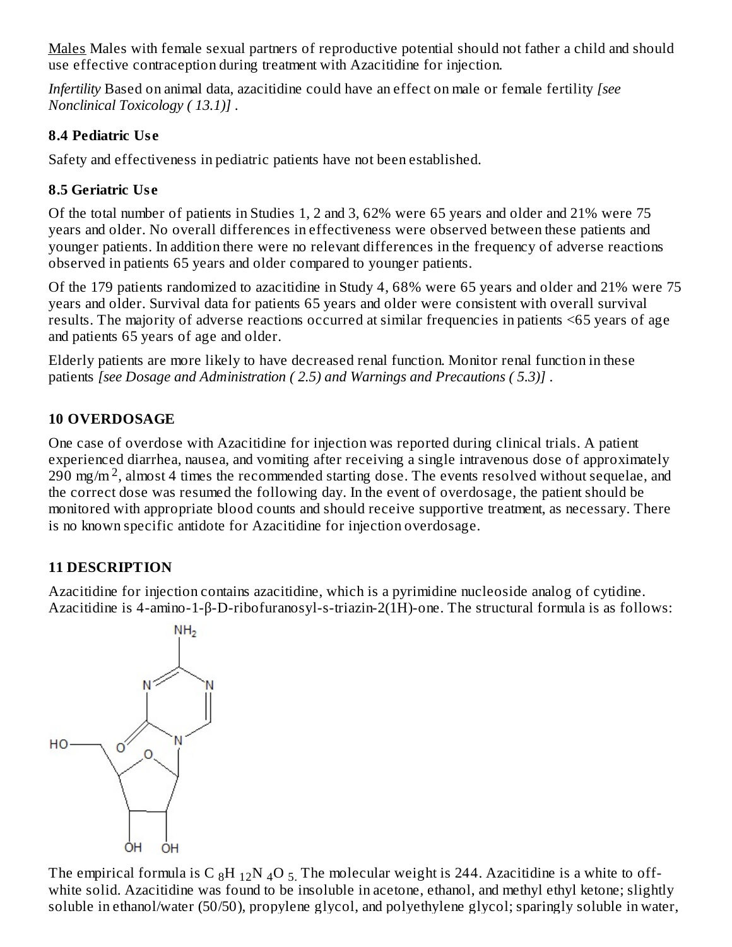Males Males with female sexual partners of reproductive potential should not father a child and should use effective contraception during treatment with Azacitidine for injection.

*Infertility* Based on animal data, azacitidine could have an effect on male or female fertility *[see Nonclinical Toxicology ( 13.1)]* .

### **8.4 Pediatric Us e**

Safety and effectiveness in pediatric patients have not been established.

# **8.5 Geriatric Us e**

Of the total number of patients in Studies 1, 2 and 3, 62% were 65 years and older and 21% were 75 years and older. No overall differences in effectiveness were observed between these patients and younger patients. In addition there were no relevant differences in the frequency of adverse reactions observed in patients 65 years and older compared to younger patients.

Of the 179 patients randomized to azacitidine in Study 4, 68% were 65 years and older and 21% were 75 years and older. Survival data for patients 65 years and older were consistent with overall survival results. The majority of adverse reactions occurred at similar frequencies in patients <65 years of age and patients 65 years of age and older.

Elderly patients are more likely to have decreased renal function. Monitor renal function in these patients *[see Dosage and Administration ( 2.5) and Warnings and Precautions ( 5.3)]* .

# **10 OVERDOSAGE**

One case of overdose with Azacitidine for injection was reported during clinical trials. A patient experienced diarrhea, nausea, and vomiting after receiving a single intravenous dose of approximately  $290$  mg/m<sup>2</sup>, almost 4 times the recommended starting dose. The events resolved without sequelae, and the correct dose was resumed the following day. In the event of overdosage, the patient should be monitored with appropriate blood counts and should receive supportive treatment, as necessary. There is no known specific antidote for Azacitidine for injection overdosage.

# **11 DESCRIPTION**

Azacitidine for injection contains azacitidine, which is a pyrimidine nucleoside analog of cytidine. Azacitidine is 4-amino-1-β-D-ribofuranosyl-s-triazin-2(1H)-one. The structural formula is as follows:



The empirical formula is C  $_8\rm{H}$   $_{12}\rm{N}$   $_4\rm{O}$   $_5$  . The molecular weight is 244. Azacitidine is a white to offwhite solid. Azacitidine was found to be insoluble in acetone, ethanol, and methyl ethyl ketone; slightly soluble in ethanol/water (50/50), propylene glycol, and polyethylene glycol; sparingly soluble in water,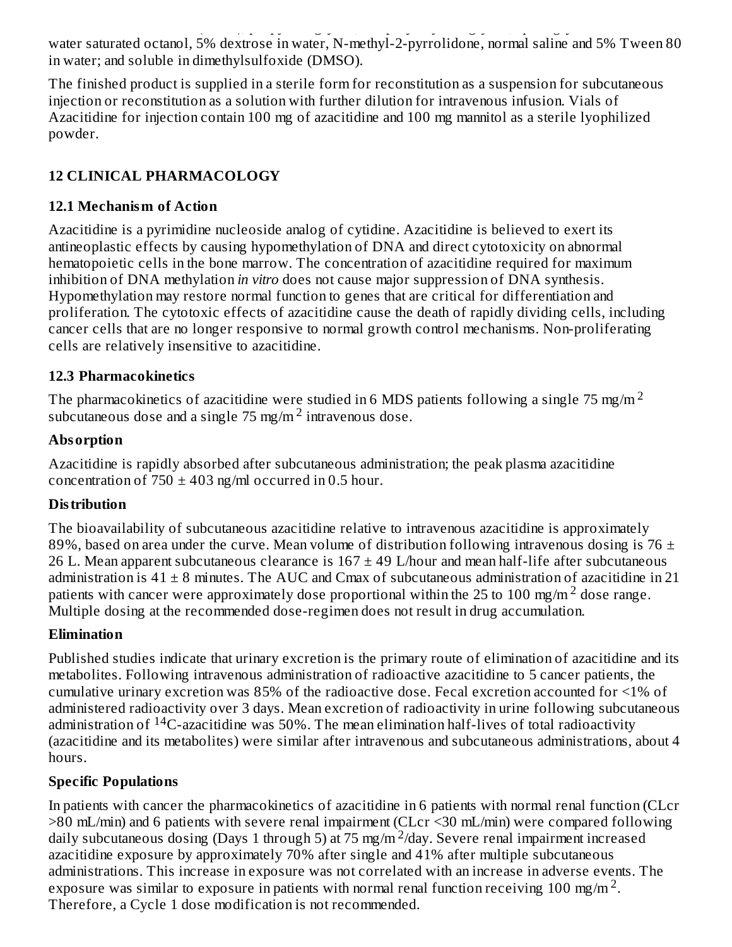soluble in ethanol/water (50/50), propylene glycol, and polyethylene glycol; sparingly soluble in water, water saturated octanol, 5% dextrose in water, N-methyl-2-pyrrolidone, normal saline and 5% Tween 80 in water; and soluble in dimethylsulfoxide (DMSO).

The finished product is supplied in a sterile form for reconstitution as a suspension for subcutaneous injection or reconstitution as a solution with further dilution for intravenous infusion. Vials of Azacitidine for injection contain 100 mg of azacitidine and 100 mg mannitol as a sterile lyophilized powder.

# **12 CLINICAL PHARMACOLOGY**

### **12.1 Mechanism of Action**

Azacitidine is a pyrimidine nucleoside analog of cytidine. Azacitidine is believed to exert its antineoplastic effects by causing hypomethylation of DNA and direct cytotoxicity on abnormal hematopoietic cells in the bone marrow. The concentration of azacitidine required for maximum inhibition of DNA methylation *in vitro* does not cause major suppression of DNA synthesis. Hypomethylation may restore normal function to genes that are critical for differentiation and proliferation. The cytotoxic effects of azacitidine cause the death of rapidly dividing cells, including cancer cells that are no longer responsive to normal growth control mechanisms. Non-proliferating cells are relatively insensitive to azacitidine.

### **12.3 Pharmacokinetics**

The pharmacokinetics of azacitidine were studied in 6 MDS patients following a single 75 mg/m  $^2$ subcutaneous dose and a single  $75$  mg/m<sup>2</sup> intravenous dose.

### **Absorption**

Azacitidine is rapidly absorbed after subcutaneous administration; the peak plasma azacitidine concentration of  $750 \pm 403$  ng/ml occurred in 0.5 hour.

### **Distribution**

The bioavailability of subcutaneous azacitidine relative to intravenous azacitidine is approximately 89%, based on area under the curve. Mean volume of distribution following intravenous dosing is 76  $\pm$ 26 L. Mean apparent subcutaneous clearance is  $167 \pm 49$  L/hour and mean half-life after subcutaneous administration is  $41 \pm 8$  minutes. The AUC and Cmax of subcutaneous administration of azacitidine in 21 patients with cancer were approximately dose proportional within the 25 to 100 mg/m  $^2$  dose range. Multiple dosing at the recommended dose-regimen does not result in drug accumulation.

### **Elimination**

Published studies indicate that urinary excretion is the primary route of elimination of azacitidine and its metabolites. Following intravenous administration of radioactive azacitidine to 5 cancer patients, the cumulative urinary excretion was 85% of the radioactive dose. Fecal excretion accounted for <1% of administered radioactivity over 3 days. Mean excretion of radioactivity in urine following subcutaneous administration of <sup>14</sup>C-azacitidine was 50%. The mean elimination half-lives of total radioactivity (azacitidine and its metabolites) were similar after intravenous and subcutaneous administrations, about 4 hours.

### **Specific Populations**

In patients with cancer the pharmacokinetics of azacitidine in 6 patients with normal renal function (CLcr >80 mL/min) and 6 patients with severe renal impairment (CLcr <30 mL/min) were compared following daily subcutaneous dosing (Days 1 through 5) at 75 mg/m<sup>2</sup>/day. Severe renal impairment increased azacitidine exposure by approximately 70% after single and 41% after multiple subcutaneous administrations. This increase in exposure was not correlated with an increase in adverse events. The exposure was similar to exposure in patients with normal renal function receiving 100 mg/m<sup>2</sup>. Therefore, a Cycle 1 dose modification is not recommended.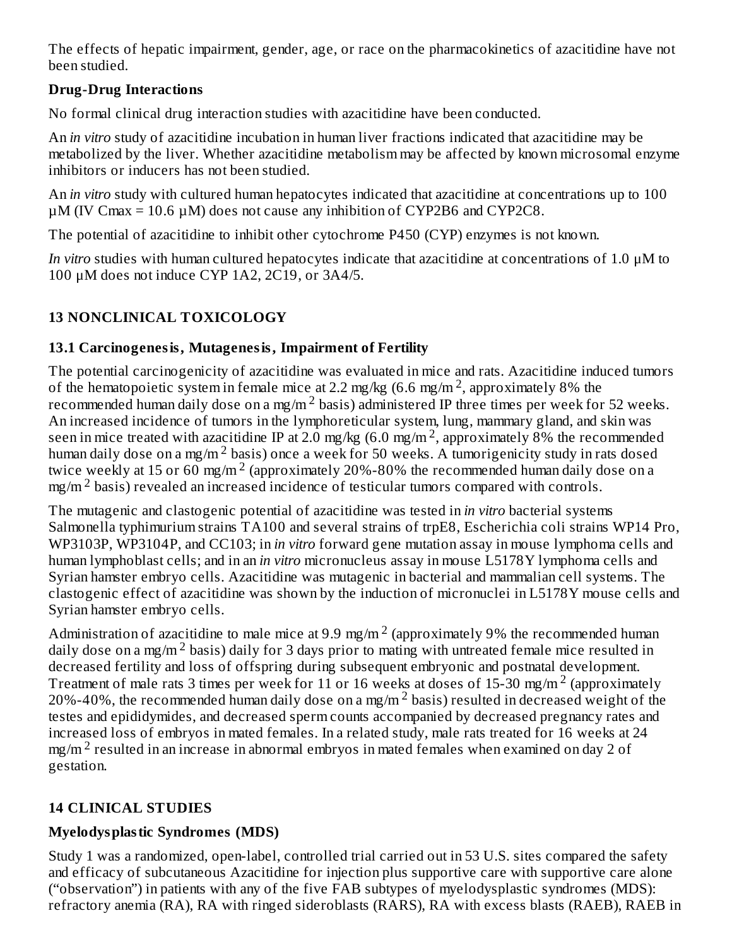The effects of hepatic impairment, gender, age, or race on the pharmacokinetics of azacitidine have not been studied.

## **Drug-Drug Interactions**

No formal clinical drug interaction studies with azacitidine have been conducted.

An *in vitro* study of azacitidine incubation in human liver fractions indicated that azacitidine may be metabolized by the liver. Whether azacitidine metabolism may be affected by known microsomal enzyme inhibitors or inducers has not been studied.

An *in vitro* study with cultured human hepatocytes indicated that azacitidine at concentrations up to 100  $\mu$ M (IV Cmax = 10.6  $\mu$ M) does not cause any inhibition of CYP2B6 and CYP2C8.

The potential of azacitidine to inhibit other cytochrome P450 (CYP) enzymes is not known.

*In vitro* studies with human cultured hepatocytes indicate that azacitidine at concentrations of 1.0 μM to 100 μM does not induce CYP 1A2, 2C19, or 3A4/5.

# **13 NONCLINICAL TOXICOLOGY**

# **13.1 Carcinogenesis, Mutagenesis, Impairment of Fertility**

The potential carcinogenicity of azacitidine was evaluated in mice and rats. Azacitidine induced tumors of the hematopoietic system in female mice at 2.2 mg/kg (6.6 mg/m<sup>2</sup>, approximately 8% the recommended human daily dose on a mg/m  $^2$  basis) administered IP three times per week for 52 weeks. An increased incidence of tumors in the lymphoreticular system, lung, mammary gland, and skin was seen in mice treated with azacitidine IP at 2.0 mg/kg (6.0 mg/m<sup>2</sup>, approximately 8% the recommended human daily dose on a mg/m<sup>2</sup> basis) once a week for 50 weeks. A tumorigenicity study in rats dosed twice weekly at 15 or 60 mg/m  $^2$  (approximately 20%-80% the recommended human daily dose on a  $mg/m<sup>2</sup>$  basis) revealed an increased incidence of testicular tumors compared with controls.

The mutagenic and clastogenic potential of azacitidine was tested in *in vitro* bacterial systems Salmonella typhimurium strains TA100 and several strains of trpE8, Escherichia coli strains WP14 Pro, WP3103P, WP3104P, and CC103; in *in vitro* forward gene mutation assay in mouse lymphoma cells and human lymphoblast cells; and in an *in vitro* micronucleus assay in mouse L5178Y lymphoma cells and Syrian hamster embryo cells. Azacitidine was mutagenic in bacterial and mammalian cell systems. The clastogenic effect of azacitidine was shown by the induction of micronuclei in L5178Y mouse cells and Syrian hamster embryo cells.

Administration of azacitidine to male mice at 9.9 mg/m<sup>2</sup> (approximately 9% the recommended human daily dose on a mg/m<sup>2</sup> basis) daily for 3 days prior to mating with untreated female mice resulted in decreased fertility and loss of offspring during subsequent embryonic and postnatal development. Treatment of male rats 3 times per week for 11 or 16 weeks at doses of 15-30 mg/m<sup>2</sup> (approximately 20%-40%, the recommended human daily dose on a mg/m<sup>2</sup> basis) resulted in decreased weight of the testes and epididymides, and decreased sperm counts accompanied by decreased pregnancy rates and increased loss of embryos in mated females. In a related study, male rats treated for 16 weeks at 24 mg/m  $^2$  resulted in an increase in abnormal embryos in mated females when examined on day 2 of gestation.

# **14 CLINICAL STUDIES**

# **Myelodysplastic Syndromes (MDS)**

Study 1 was a randomized, open-label, controlled trial carried out in 53 U.S. sites compared the safety and efficacy of subcutaneous Azacitidine for injection plus supportive care with supportive care alone ("observation") in patients with any of the five FAB subtypes of myelodysplastic syndromes (MDS): refractory anemia (RA), RA with ringed sideroblasts (RARS), RA with excess blasts (RAEB), RAEB in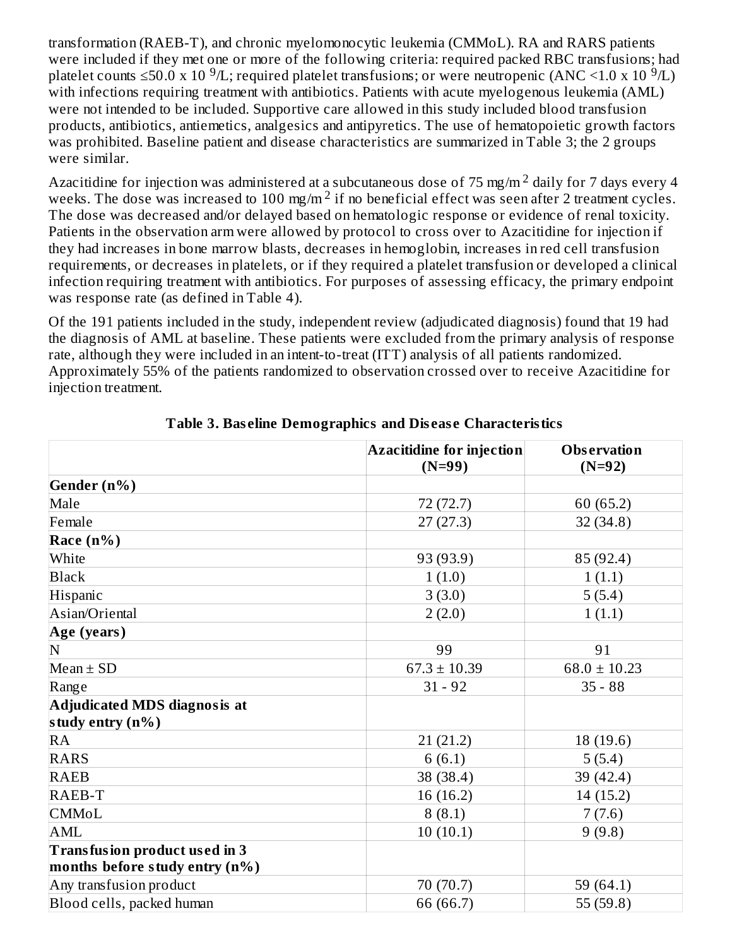transformation (RAEB-T), and chronic myelomonocytic leukemia (CMMoL). RA and RARS patients were included if they met one or more of the following criteria: required packed RBC transfusions; had platelet counts ≤50.0 x 10  $^9$ /L; required platelet transfusions; or were neutropenic (ANC <1.0 x 10  $^9$ /L) with infections requiring treatment with antibiotics. Patients with acute myelogenous leukemia (AML) were not intended to be included. Supportive care allowed in this study included blood transfusion products, antibiotics, antiemetics, analgesics and antipyretics. The use of hematopoietic growth factors was prohibited. Baseline patient and disease characteristics are summarized in Table 3; the 2 groups were similar.

Azacitidine for injection was administered at a subcutaneous dose of 75 mg/m  $^2$  daily for 7 days every 4 weeks. The dose was increased to 100 mg/m<sup>2</sup> if no beneficial effect was seen after 2 treatment cycles. The dose was decreased and/or delayed based on hematologic response or evidence of renal toxicity. Patients in the observation arm were allowed by protocol to cross over to Azacitidine for injection if they had increases in bone marrow blasts, decreases in hemoglobin, increases in red cell transfusion requirements, or decreases in platelets, or if they required a platelet transfusion or developed a clinical infection requiring treatment with antibiotics. For purposes of assessing efficacy, the primary endpoint was response rate (as defined in Table 4).

Of the 191 patients included in the study, independent review (adjudicated diagnosis) found that 19 had the diagnosis of AML at baseline. These patients were excluded from the primary analysis of response rate, although they were included in an intent-to-treat (ITT) analysis of all patients randomized. Approximately 55% of the patients randomized to observation crossed over to receive Azacitidine for injection treatment.

|                                                                 | <b>Azacitidine for injection</b><br>$(N=99)$ | <b>Observation</b><br>$(N=92)$ |
|-----------------------------------------------------------------|----------------------------------------------|--------------------------------|
| Gender (n%)                                                     |                                              |                                |
| Male                                                            | 72 (72.7)                                    | 60 (65.2)                      |
| Female                                                          | 27(27.3)                                     | 32(34.8)                       |
| Race $(n\%)$                                                    |                                              |                                |
| White                                                           | 93 (93.9)                                    | 85 (92.4)                      |
| <b>Black</b>                                                    | 1(1.0)                                       | 1(1.1)                         |
| Hispanic                                                        | 3(3.0)                                       | 5(5.4)                         |
| Asian/Oriental                                                  | 2(2.0)                                       | 1(1.1)                         |
| Age (years)                                                     |                                              |                                |
| N                                                               | 99                                           | 91                             |
| $Mean \pm SD$                                                   | $67.3 \pm 10.39$                             | $68.0 \pm 10.23$               |
| Range                                                           | $31 - 92$                                    | $35 - 88$                      |
| Adjudicated MDS diagnosis at<br>study entry (n%)                |                                              |                                |
| <b>RA</b>                                                       | 21(21.2)                                     | 18 (19.6)                      |
| <b>RARS</b>                                                     | 6(6.1)                                       | 5(5.4)                         |
| <b>RAEB</b>                                                     | 38 (38.4)                                    | 39 (42.4)                      |
| RAEB-T                                                          | 16 (16.2)                                    | 14 (15.2)                      |
| <b>CMMoL</b>                                                    | 8(8.1)                                       | 7(7.6)                         |
| <b>AML</b>                                                      | 10(10.1)                                     | 9(9.8)                         |
| Transfusion product used in 3<br>months before study entry (n%) |                                              |                                |
| Any transfusion product                                         | 70 (70.7)                                    | 59 (64.1)                      |
| Blood cells, packed human                                       | 66 (66.7)                                    | 55 $(59.8)$                    |

**Table 3. Bas eline Demographics and Dis eas e Characteristics**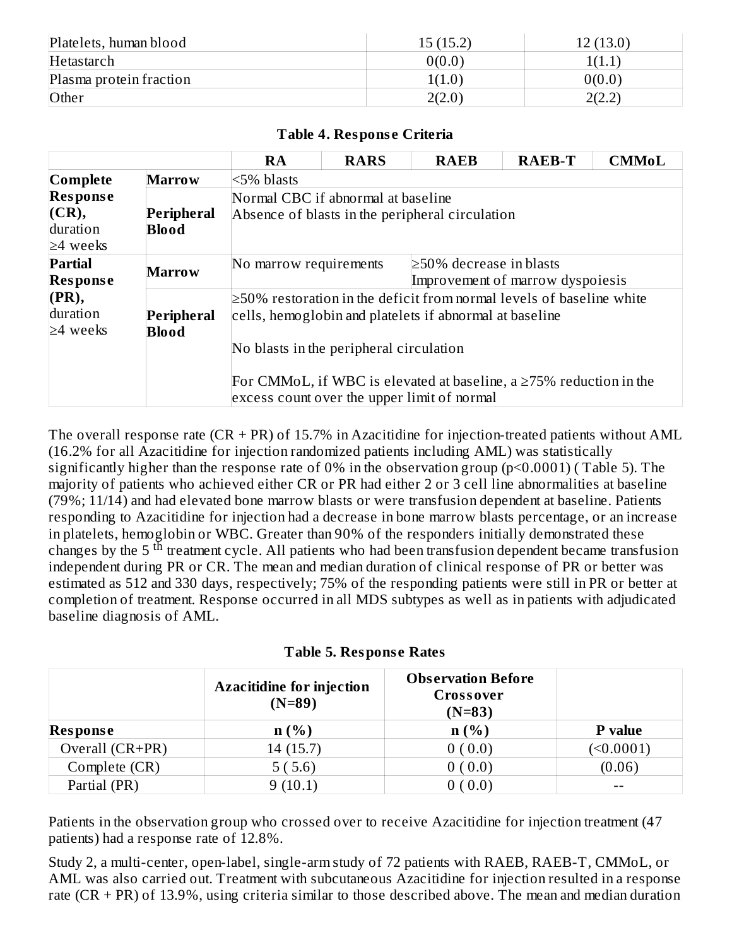| Platelets, human blood  | 15(15.2) | 12 (13.0)       |
|-------------------------|----------|-----------------|
| Hetastarch              | 0(0.0)   | 1(1.1           |
| Plasma protein fraction | 1(1.0)   | 0(0.0)          |
| Other                   | 2(2.0)   | ∖ר ר∌ר<br>2.4 ک |

#### **Table 4. Respons e Criteria**

|                                                        |                                                                                                                         | RA                                                                                                                                                                               | <b>RARS</b> | <b>RAEB</b> | <b>RAEB-T</b> | <b>CMMoL</b> |  |  |  |
|--------------------------------------------------------|-------------------------------------------------------------------------------------------------------------------------|----------------------------------------------------------------------------------------------------------------------------------------------------------------------------------|-------------|-------------|---------------|--------------|--|--|--|
| Complete                                               |                                                                                                                         |                                                                                                                                                                                  |             |             |               |              |  |  |  |
| <b>Response</b><br>(CR),<br>duration<br>$\geq$ 4 weeks | Peripheral<br><b>Blood</b>                                                                                              | Normal CBC if abnormal at baseline<br>Absence of blasts in the peripheral circulation                                                                                            |             |             |               |              |  |  |  |
| <b>Partial</b><br><b>Response</b>                      | <b>Marrow</b>                                                                                                           | $\geq$ 50% decrease in blasts<br>No marrow requirements<br>Improvement of marrow dyspoiesis                                                                                      |             |             |               |              |  |  |  |
| (PR),<br>duration<br>$\geq$ 4 weeks                    | Peripheral<br><b>Blood</b>                                                                                              | $\geq$ 50% restoration in the deficit from normal levels of baseline white<br>cells, hemoglobin and platelets if abnormal at baseline<br>No blasts in the peripheral circulation |             |             |               |              |  |  |  |
|                                                        | For CMMoL, if WBC is elevated at baseline, a $\geq$ 75% reduction in the<br>excess count over the upper limit of normal |                                                                                                                                                                                  |             |             |               |              |  |  |  |

The overall response rate  $(CR + PR)$  of 15.7% in Azacitidine for injection-treated patients without AML (16.2% for all Azacitidine for injection randomized patients including AML) was statistically significantly higher than the response rate of 0% in the observation group (p<0.0001) ( Table 5). The majority of patients who achieved either CR or PR had either 2 or 3 cell line abnormalities at baseline (79%; 11/14) and had elevated bone marrow blasts or were transfusion dependent at baseline. Patients responding to Azacitidine for injection had a decrease in bone marrow blasts percentage, or an increase in platelets, hemoglobin or WBC. Greater than 90% of the responders initially demonstrated these changes by the 5<sup>th</sup> treatment cycle. All patients who had been transfusion dependent became transfusion independent during PR or CR. The mean and median duration of clinical response of PR or better was estimated as 512 and 330 days, respectively; 75% of the responding patients were still in PR or better at completion of treatment. Response occurred in all MDS subtypes as well as in patients with adjudicated baseline diagnosis of AML.

|  |  |  |  | <b>Table 5. Response Rates</b> |  |
|--|--|--|--|--------------------------------|--|
|--|--|--|--|--------------------------------|--|

|                 | <b>Azacitidine for injection</b><br>$(N=89)$ | <b>Observation Before</b><br><b>Crossover</b><br>$(N=83)$ |                |
|-----------------|----------------------------------------------|-----------------------------------------------------------|----------------|
| <b>Response</b> | $n(\%)$                                      | n(%)                                                      | <b>P</b> value |
| Overall (CR+PR) | 14 (15.7)                                    | 0(0.0)                                                    | (<0.0001)      |
| Complete (CR)   | 5(5.6)                                       | 0(0.0)                                                    | (0.06)         |
| Partial (PR)    | 9(10.1)                                      | 0(0.0)                                                    |                |

Patients in the observation group who crossed over to receive Azacitidine for injection treatment (47 patients) had a response rate of 12.8%.

Study 2, a multi-center, open-label, single-arm study of 72 patients with RAEB, RAEB-T, CMMoL, or AML was also carried out. Treatment with subcutaneous Azacitidine for injection resulted in a response rate  $(CR + PR)$  of 13.9%, using criteria similar to those described above. The mean and median duration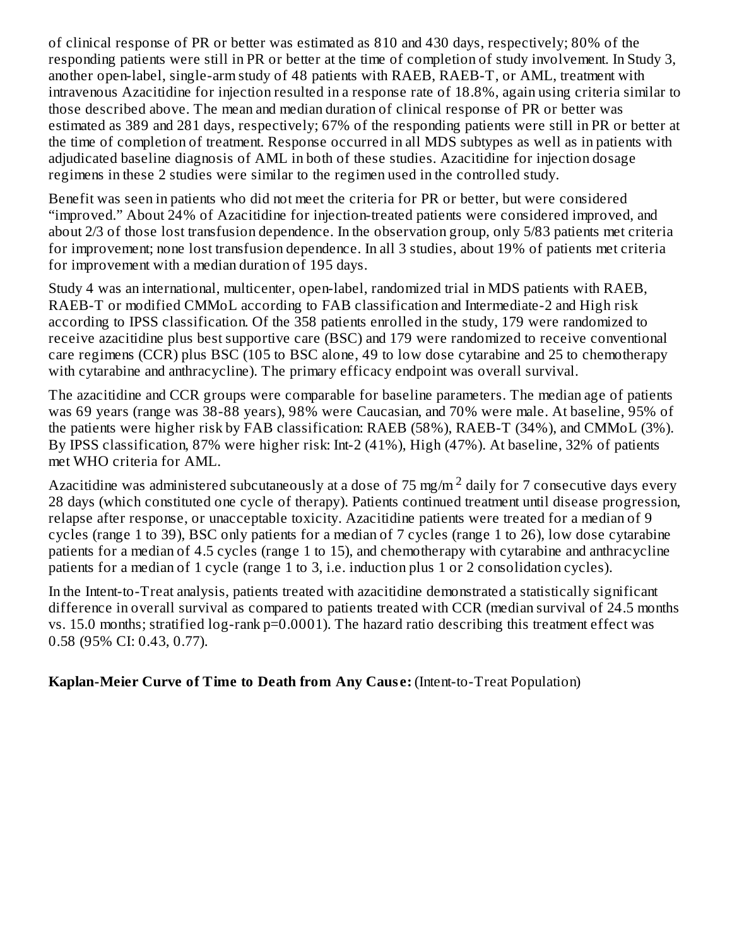of clinical response of PR or better was estimated as 810 and 430 days, respectively; 80% of the responding patients were still in PR or better at the time of completion of study involvement. In Study 3, another open-label, single-arm study of 48 patients with RAEB, RAEB-T, or AML, treatment with intravenous Azacitidine for injection resulted in a response rate of 18.8%, again using criteria similar to those described above. The mean and median duration of clinical response of PR or better was estimated as 389 and 281 days, respectively; 67% of the responding patients were still in PR or better at the time of completion of treatment. Response occurred in all MDS subtypes as well as in patients with adjudicated baseline diagnosis of AML in both of these studies. Azacitidine for injection dosage regimens in these 2 studies were similar to the regimen used in the controlled study.

Benefit was seen in patients who did not meet the criteria for PR or better, but were considered "improved." About 24% of Azacitidine for injection-treated patients were considered improved, and about 2/3 of those lost transfusion dependence. In the observation group, only 5/83 patients met criteria for improvement; none lost transfusion dependence. In all 3 studies, about 19% of patients met criteria for improvement with a median duration of 195 days.

Study 4 was an international, multicenter, open-label, randomized trial in MDS patients with RAEB, RAEB-T or modified CMMoL according to FAB classification and Intermediate-2 and High risk according to IPSS classification. Of the 358 patients enrolled in the study, 179 were randomized to receive azacitidine plus best supportive care (BSC) and 179 were randomized to receive conventional care regimens (CCR) plus BSC (105 to BSC alone, 49 to low dose cytarabine and 25 to chemotherapy with cytarabine and anthracycline). The primary efficacy endpoint was overall survival.

The azacitidine and CCR groups were comparable for baseline parameters. The median age of patients was 69 years (range was 38-88 years), 98% were Caucasian, and 70% were male. At baseline, 95% of the patients were higher risk by FAB classification: RAEB (58%), RAEB-T (34%), and CMMoL (3%). By IPSS classification, 87% were higher risk: Int-2 (41%), High (47%). At baseline, 32% of patients met WHO criteria for AML.

Azacitidine was administered subcutaneously at a dose of 75 mg/m  $^2$  daily for 7 consecutive days every 28 days (which constituted one cycle of therapy). Patients continued treatment until disease progression, relapse after response, or unacceptable toxicity. Azacitidine patients were treated for a median of 9 cycles (range 1 to 39), BSC only patients for a median of 7 cycles (range 1 to 26), low dose cytarabine patients for a median of 4.5 cycles (range 1 to 15), and chemotherapy with cytarabine and anthracycline patients for a median of 1 cycle (range 1 to 3, i.e. induction plus 1 or 2 consolidation cycles).

In the Intent-to-Treat analysis, patients treated with azacitidine demonstrated a statistically significant difference in overall survival as compared to patients treated with CCR (median survival of 24.5 months vs. 15.0 months; stratified log-rank p=0.0001). The hazard ratio describing this treatment effect was 0.58 (95% CI: 0.43, 0.77).

**Kaplan-Meier Curve of Time to Death from Any Caus e:** (Intent-to-Treat Population)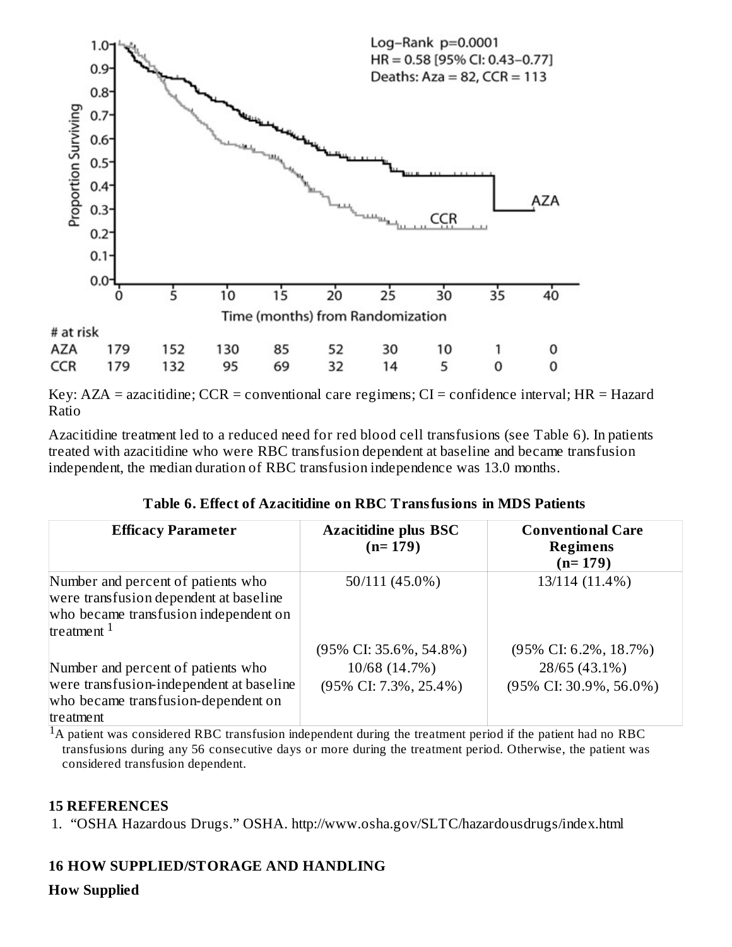

Key:  $AZA =$  azacitidine;  $CCR =$  conventional care regimens;  $CI =$  confidence interval;  $HR =$  Hazard Ratio

Azacitidine treatment led to a reduced need for red blood cell transfusions (see Table 6). In patients treated with azacitidine who were RBC transfusion dependent at baseline and became transfusion independent, the median duration of RBC transfusion independence was 13.0 months.

|  | Table 6. Effect of Azacitidine on RBC Transfusions in MDS Patients |  |  |
|--|--------------------------------------------------------------------|--|--|
|  |                                                                    |  |  |

| <b>Efficacy Parameter</b>                                                                                                              | <b>Azacitidine plus BSC</b><br>$(n=179)$                                       | <b>Conventional Care</b><br><b>Regimens</b><br>$(n=179)$                       |
|----------------------------------------------------------------------------------------------------------------------------------------|--------------------------------------------------------------------------------|--------------------------------------------------------------------------------|
| Number and percent of patients who<br>were transfusion dependent at baseline<br>who became transfusion independent on<br>treatment $1$ | 50/111 (45.0%)                                                                 | 13/114 (11.4%)                                                                 |
| Number and percent of patients who<br>were transfusion-independent at baseline<br>who became transfusion-dependent on<br>treatment     | $(95\% \text{ CI: } 35.6\%, 54.8\%)$<br>10/68 (14.7%)<br>(95% CI: 7.3%, 25.4%) | $(95\% \text{ CI: } 6.2\%, 18.7\%)$<br>28/65 (43.1%)<br>(95% CI: 30.9%, 56.0%) |

 ${}^{1}$ A patient was considered RBC transfusion independent during the treatment period if the patient had no RBC transfusions during any 56 consecutive days or more during the treatment period. Otherwise, the patient was considered transfusion dependent.

#### **15 REFERENCES**

1. "OSHA Hazardous Drugs." OSHA. http://www.osha.gov/SLTC/hazardousdrugs/index.html

#### **16 HOW SUPPLIED/STORAGE AND HANDLING**

#### **How Supplied**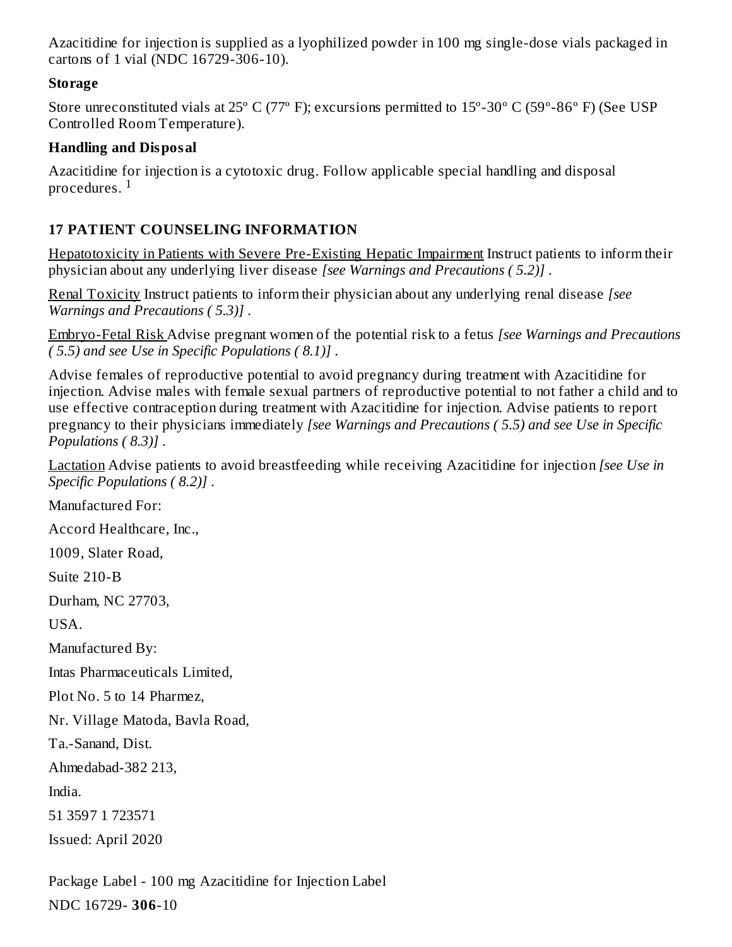Azacitidine for injection is supplied as a lyophilized powder in 100 mg single-dose vials packaged in cartons of 1 vial (NDC 16729-306-10).

### **Storage**

Store unreconstituted vials at 25º C (77º F); excursions permitted to 15º-30º C (59º-86º F) (See USP Controlled Room Temperature).

### **Handling and Disposal**

Azacitidine for injection is a cytotoxic drug. Follow applicable special handling and disposal procedures.  $^{\rm 1}$ 

# **17 PATIENT COUNSELING INFORMATION**

Hepatotoxicity in Patients with Severe Pre-Existing Hepatic Impairment Instruct patients to inform their physician about any underlying liver disease *[see Warnings and Precautions ( 5.2)]* .

Renal Toxicity Instruct patients to inform their physician about any underlying renal disease *[see Warnings and Precautions ( 5.3)]* .

Embryo-Fetal Risk Advise pregnant women of the potential risk to a fetus *[see Warnings and Precautions ( 5.5) and see Use in Specific Populations ( 8.1)]* .

Advise females of reproductive potential to avoid pregnancy during treatment with Azacitidine for injection. Advise males with female sexual partners of reproductive potential to not father a child and to use effective contraception during treatment with Azacitidine for injection. Advise patients to report pregnancy to their physicians immediately *[see Warnings and Precautions ( 5.5) and see Use in Specific Populations ( 8.3)]* .

Lactation Advise patients to avoid breastfeeding while receiving Azacitidine for injection *[see Use in Specific Populations ( 8.2)]* .

Manufactured For:

Accord Healthcare, Inc.,

1009, Slater Road,

Suite 210-B

Durham, NC 27703,

USA.

Manufactured By:

Intas Pharmaceuticals Limited,

Plot No. 5 to 14 Pharmez,

Nr. Village Matoda, Bavla Road,

Ta.-Sanand, Dist.

Ahmedabad-382 213,

India.

51 3597 1 723571

Issued: April 2020

Package Label - 100 mg Azacitidine for Injection Label NDC 16729- **306**-10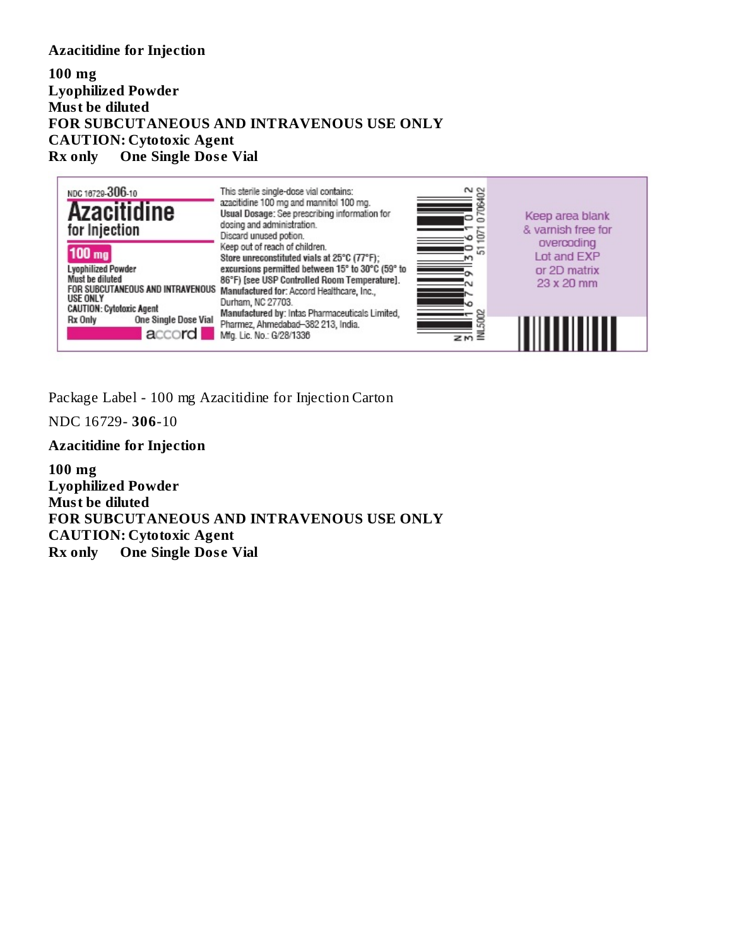#### **Azacitidine for Injection**

#### **100 mg Lyophilized Powder Must be diluted FOR SUBCUTANEOUS AND INTRAVENOUS USE ONLY CAUTION: Cytotoxic Agent Rx only One Single Dos e Vial**



Package Label - 100 mg Azacitidine for Injection Carton

NDC 16729- **306**-10

#### **Azacitidine for Injection**

**100 mg Lyophilized Powder Must be diluted FOR SUBCUTANEOUS AND INTRAVENOUS USE ONLY CAUTION: Cytotoxic Agent Rx only One Single Dos e Vial**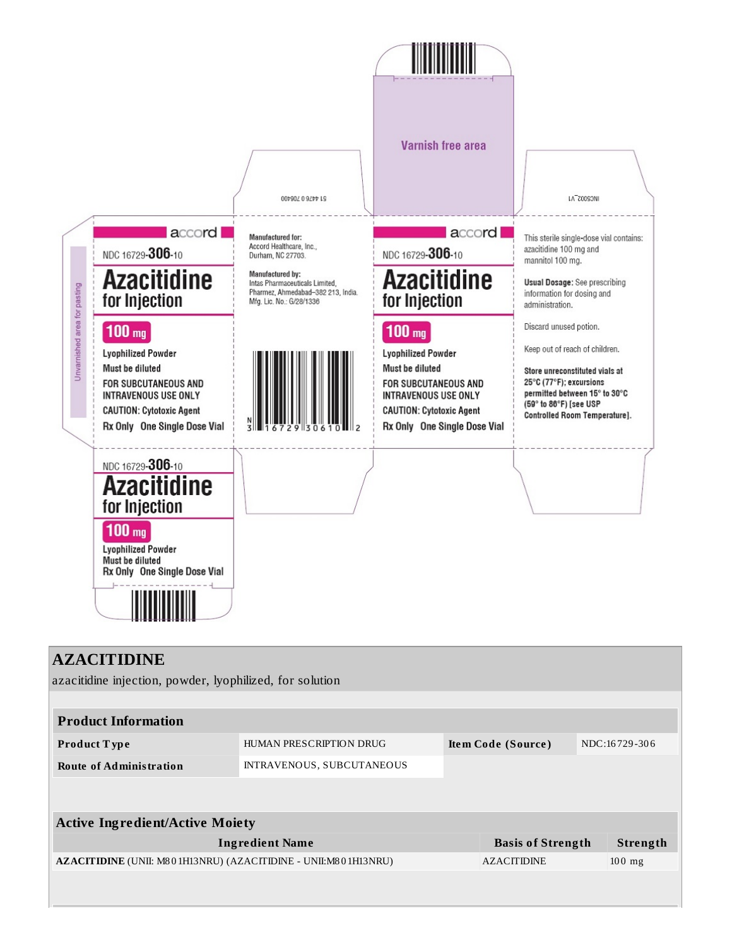

### **AZACITIDINE**

azacitidine injection, powder, lyophilized, for solution

| <b>Product Information</b> |                           |                    |               |  |  |
|----------------------------|---------------------------|--------------------|---------------|--|--|
| Product Type               | HUMAN PRESCRIPTION DRUG   | Item Code (Source) | NDC:16729-306 |  |  |
| Route of Administration    | INTRAVENOUS, SUBCUTANEOUS |                    |               |  |  |

| <b>Active Ingredient/Active Moiety</b>                                |                          |          |  |  |
|-----------------------------------------------------------------------|--------------------------|----------|--|--|
| <b>Ingredient Name</b>                                                | <b>Basis of Strength</b> | Strength |  |  |
| <b>AZACITIDINE</b> (UNII: M801H13NRU) (AZACITIDINE - UNII:M801H13NRU) | <b>AZACITIDINE</b>       | $100$ mg |  |  |
|                                                                       |                          |          |  |  |